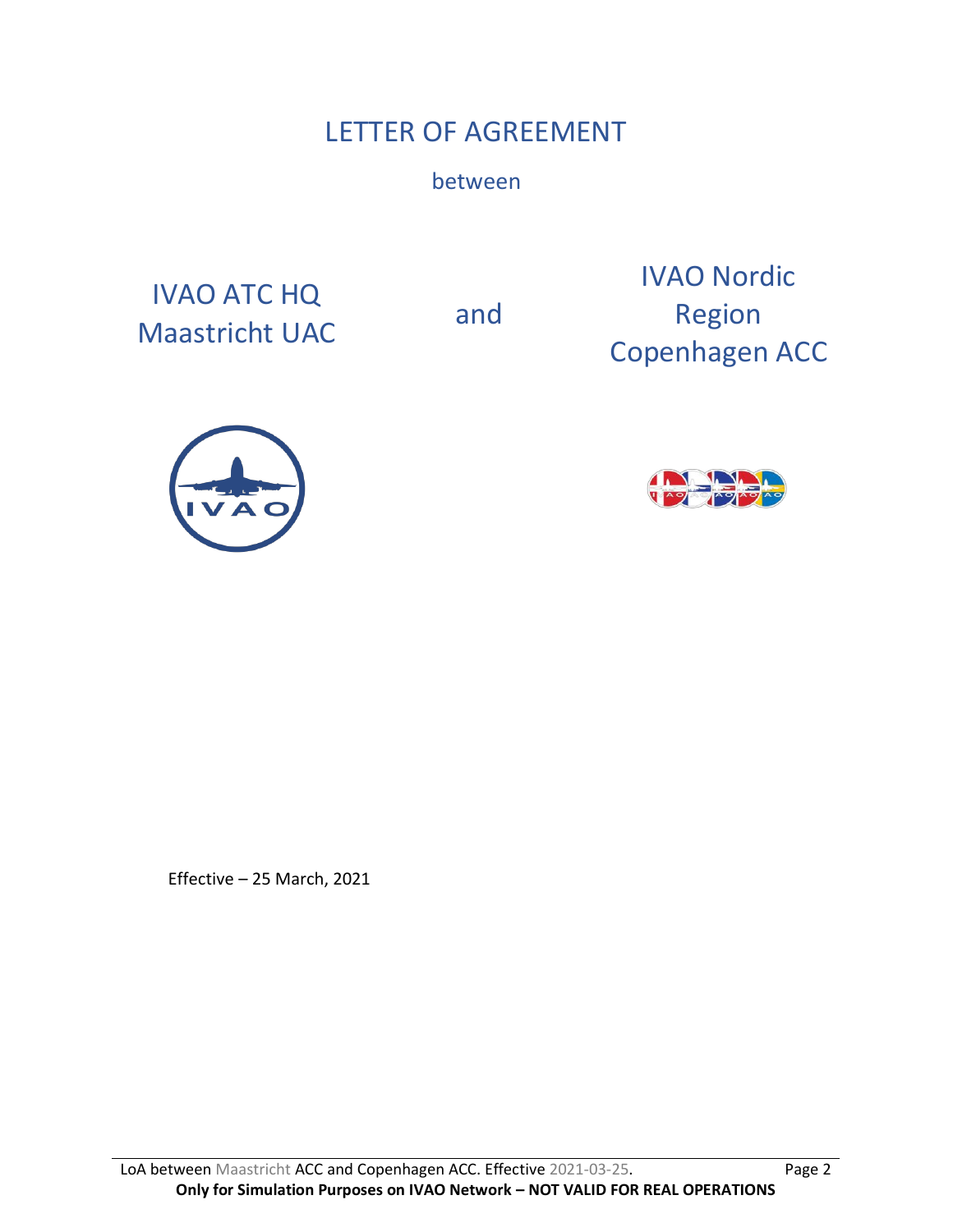# LETTER OF AGREEMENT

between

IVAO ATC HQ Maastricht UAC and

IVAO Nordic Region Copenhagen ACC





Effective – 25 March, 2021

LoA between Maastricht ACC and Copenhagen ACC. Effective 2021-03-25. Page 2 **Only for Simulation Purposes on IVAO Network – NOT VALID FOR REAL OPERATIONS**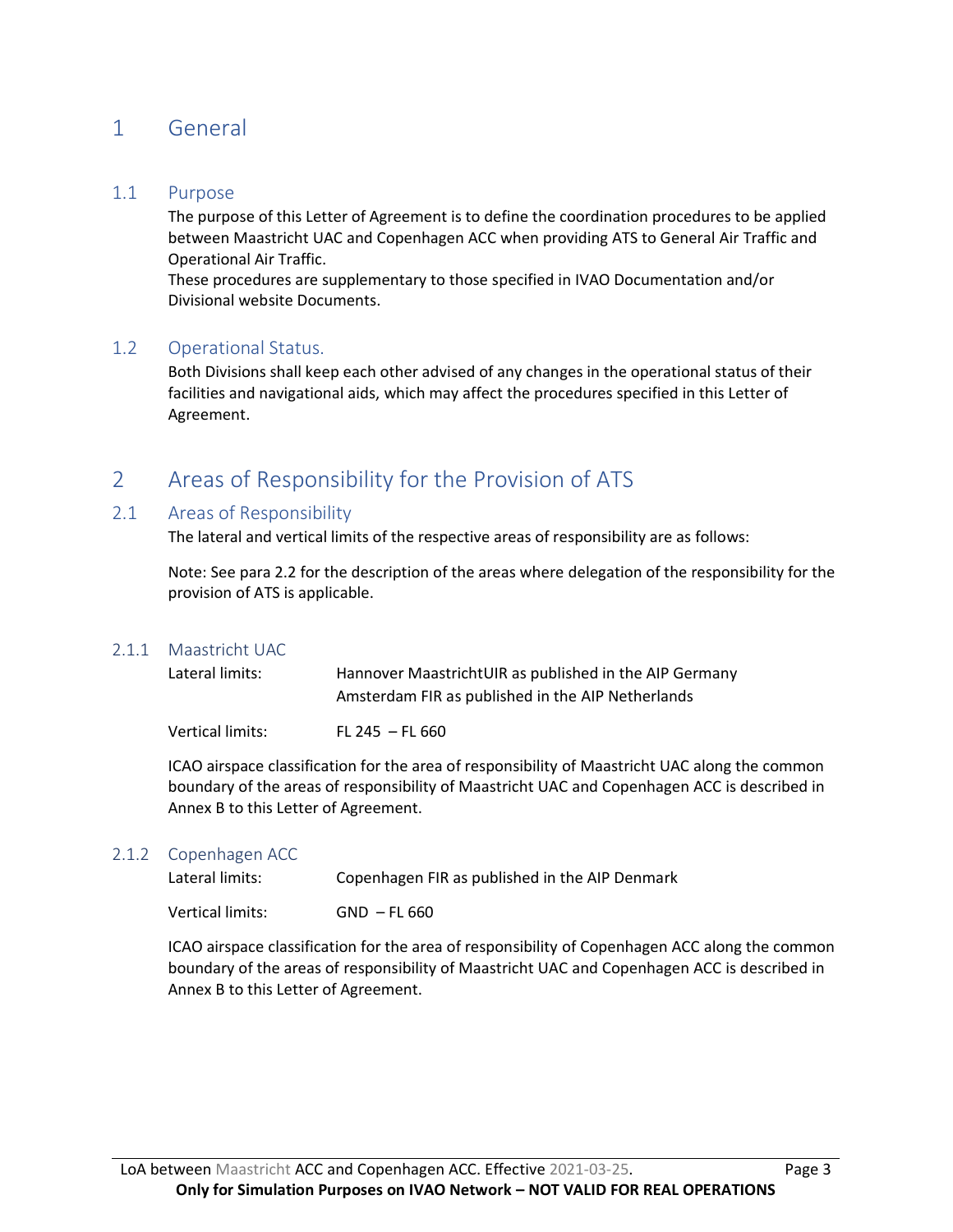# 1 General

#### 1.1 Purpose

The purpose of this Letter of Agreement is to define the coordination procedures to be applied between Maastricht UAC and Copenhagen ACC when providing ATS to General Air Traffic and Operational Air Traffic.

These procedures are supplementary to those specified in IVAO Documentation and/or Divisional website Documents.

#### 1.2 Operational Status.

Both Divisions shall keep each other advised of any changes in the operational status of their facilities and navigational aids, which may affect the procedures specified in this Letter of Agreement.

# 2 Areas of Responsibility for the Provision of ATS

#### 2.1 Areas of Responsibility

The lateral and vertical limits of the respective areas of responsibility are as follows:

Note: See para 2.2 for the description of the areas where delegation of the responsibility for the provision of ATS is applicable.

#### 2.1.1 Maastricht UAC

| Lateral limits:  | Hannover MaastrichtUIR as published in the AIP Germany<br>Amsterdam FIR as published in the AIP Netherlands |
|------------------|-------------------------------------------------------------------------------------------------------------|
| Vertical limits: | $FL 245 - FL 660$                                                                                           |

ICAO airspace classification for the area of responsibility of Maastricht UAC along the common boundary of the areas of responsibility of Maastricht UAC and Copenhagen ACC is described in Annex B to this Letter of Agreement.

#### 2.1.2 Copenhagen ACC

| Lateral limits:  | Copenhagen FIR as published in the AIP Denmark |
|------------------|------------------------------------------------|
| Vertical limits: | $GND$ – FL 660                                 |

ICAO airspace classification for the area of responsibility of Copenhagen ACC along the common boundary of the areas of responsibility of Maastricht UAC and Copenhagen ACC is described in Annex B to this Letter of Agreement.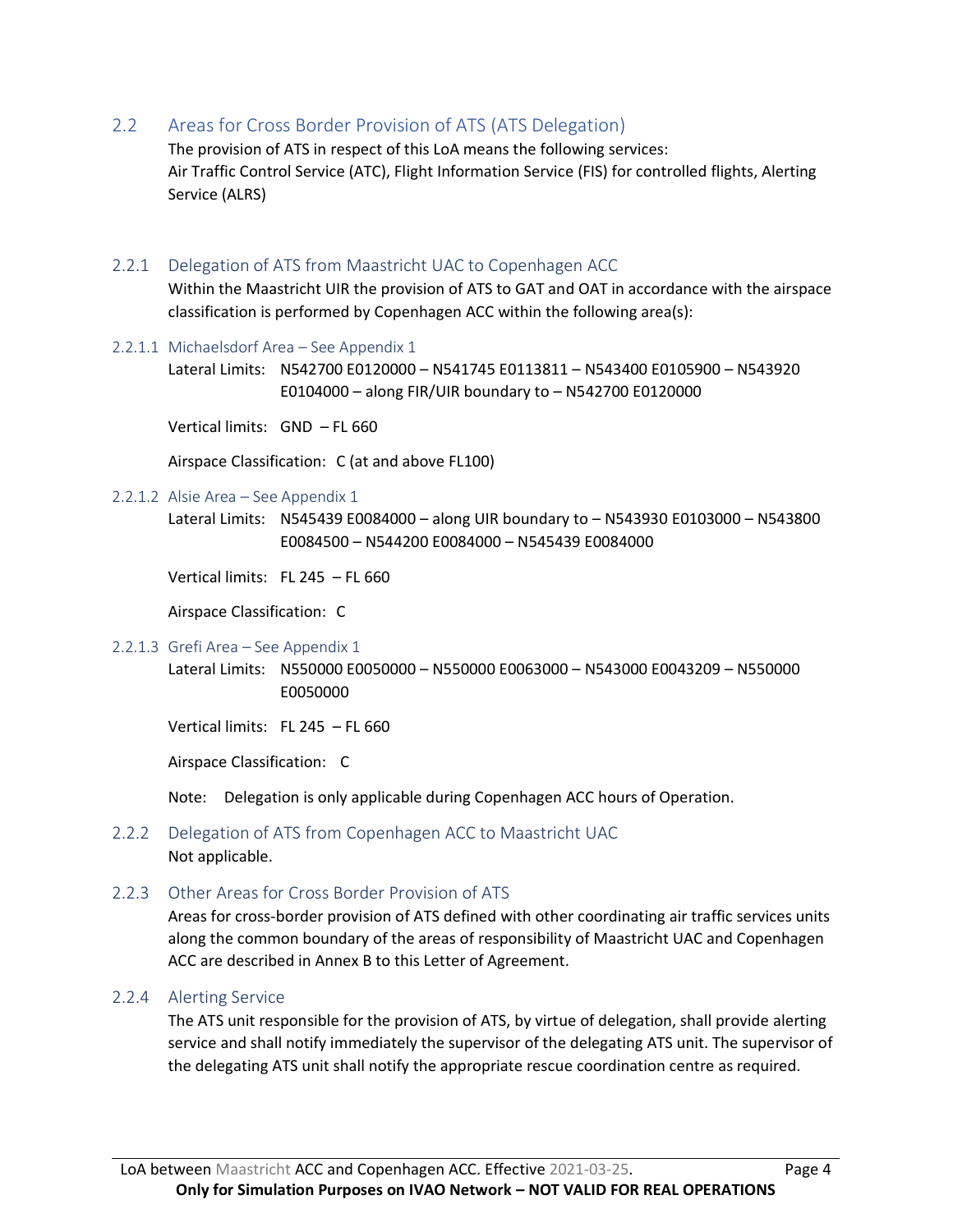2.2 Areas for Cross Border Provision of ATS (ATS Delegation)

The provision of ATS in respect of this LoA means the following services: Air Traffic Control Service (ATC), Flight Information Service (FIS) for controlled flights, Alerting Service (ALRS)

#### 2.2.1 Delegation of ATS from Maastricht UAC to Copenhagen ACC

Within the Maastricht UIR the provision of ATS to GAT and OAT in accordance with the airspace classification is performed by Copenhagen ACC within the following area(s):

#### 2.2.1.1 Michaelsdorf Area – See Appendix 1

Lateral Limits: N542700 E0120000 – N541745 E0113811 – N543400 E0105900 – N543920 E0104000 – along FIR/UIR boundary to – N542700 E0120000

Vertical limits: GND – FL 660

Airspace Classification: C (at and above FL100)

#### 2.2.1.2 Alsie Area – See Appendix 1

Lateral Limits: N545439 E0084000 – along UIR boundary to – N543930 E0103000 – N543800 E0084500 – N544200 E0084000 – N545439 E0084000

Vertical limits: FL 245 – FL 660

Airspace Classification: C

#### 2.2.1.3 Grefi Area – See Appendix 1

Lateral Limits: N550000 E0050000 – N550000 E0063000 – N543000 E0043209 – N550000 E0050000

Vertical limits: FL 245 – FL 660

Airspace Classification: C

Note: Delegation is only applicable during Copenhagen ACC hours of Operation.

### 2.2.2 Delegation of ATS from Copenhagen ACC to Maastricht UAC Not applicable.

#### 2.2.3 Other Areas for Cross Border Provision of ATS

Areas for cross-border provision of ATS defined with other coordinating air traffic services units along the common boundary of the areas of responsibility of Maastricht UAC and Copenhagen ACC are described in Annex B to this Letter of Agreement.

#### 2.2.4 Alerting Service

The ATS unit responsible for the provision of ATS, by virtue of delegation, shall provide alerting service and shall notify immediately the supervisor of the delegating ATS unit. The supervisor of the delegating ATS unit shall notify the appropriate rescue coordination centre as required.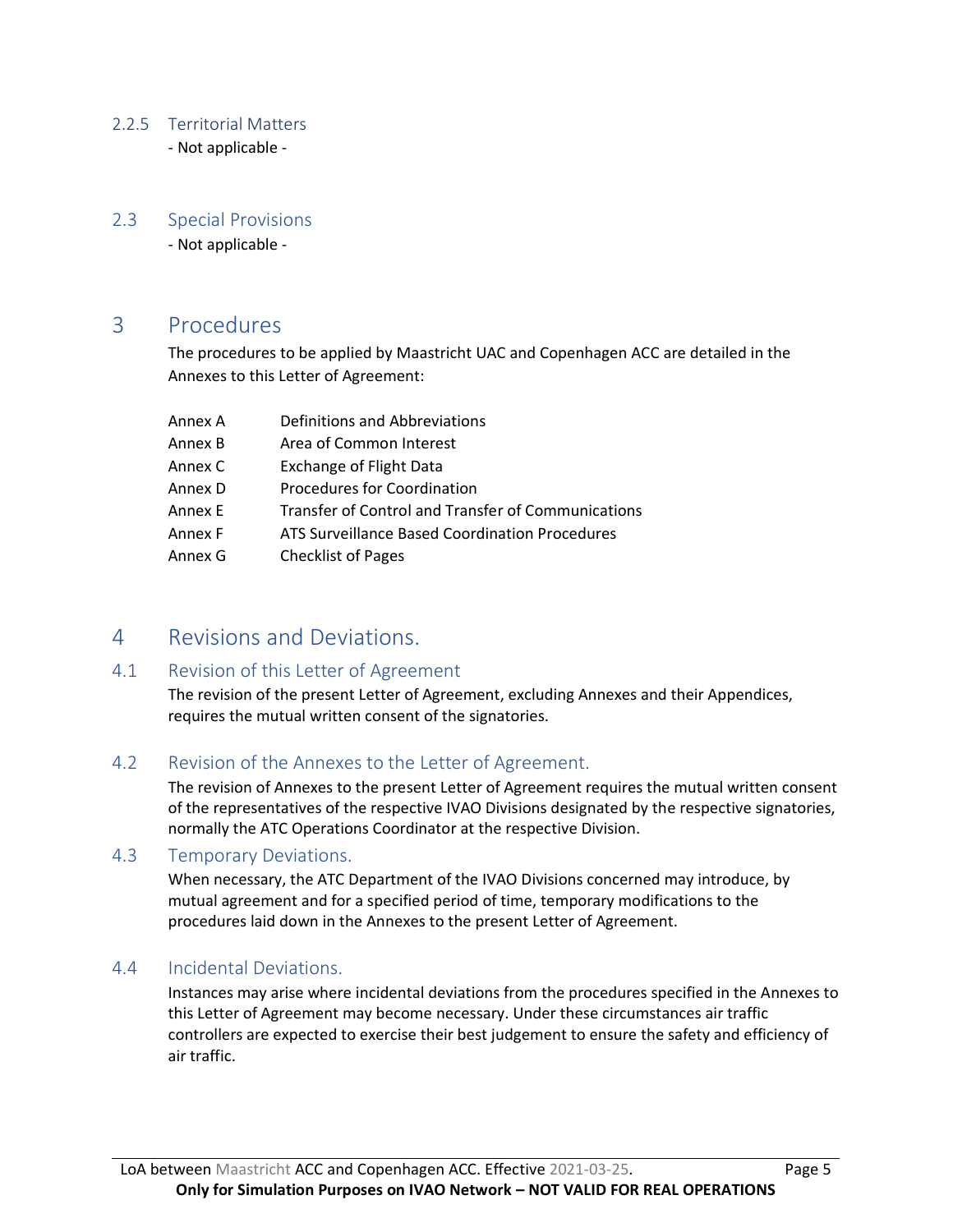### 2.2.5 Territorial Matters

- Not applicable -

### 2.3 Special Provisions

- Not applicable -

## 3 Procedures

The procedures to be applied by Maastricht UAC and Copenhagen ACC are detailed in the Annexes to this Letter of Agreement:

| Annex A | Definitions and Abbreviations                      |
|---------|----------------------------------------------------|
| Annex B | Area of Common Interest                            |
| Annex C | <b>Exchange of Flight Data</b>                     |
| Annex D | Procedures for Coordination                        |
| Annex E | Transfer of Control and Transfer of Communications |
| Annex F | ATS Surveillance Based Coordination Procedures     |
| Annex G | <b>Checklist of Pages</b>                          |

# 4 Revisions and Deviations.

### 4.1 Revision of this Letter of Agreement

The revision of the present Letter of Agreement, excluding Annexes and their Appendices, requires the mutual written consent of the signatories.

### 4.2 Revision of the Annexes to the Letter of Agreement.

The revision of Annexes to the present Letter of Agreement requires the mutual written consent of the representatives of the respective IVAO Divisions designated by the respective signatories, normally the ATC Operations Coordinator at the respective Division.

### 4.3 Temporary Deviations.

When necessary, the ATC Department of the IVAO Divisions concerned may introduce, by mutual agreement and for a specified period of time, temporary modifications to the procedures laid down in the Annexes to the present Letter of Agreement.

### 4.4 Incidental Deviations.

Instances may arise where incidental deviations from the procedures specified in the Annexes to this Letter of Agreement may become necessary. Under these circumstances air traffic controllers are expected to exercise their best judgement to ensure the safety and efficiency of air traffic.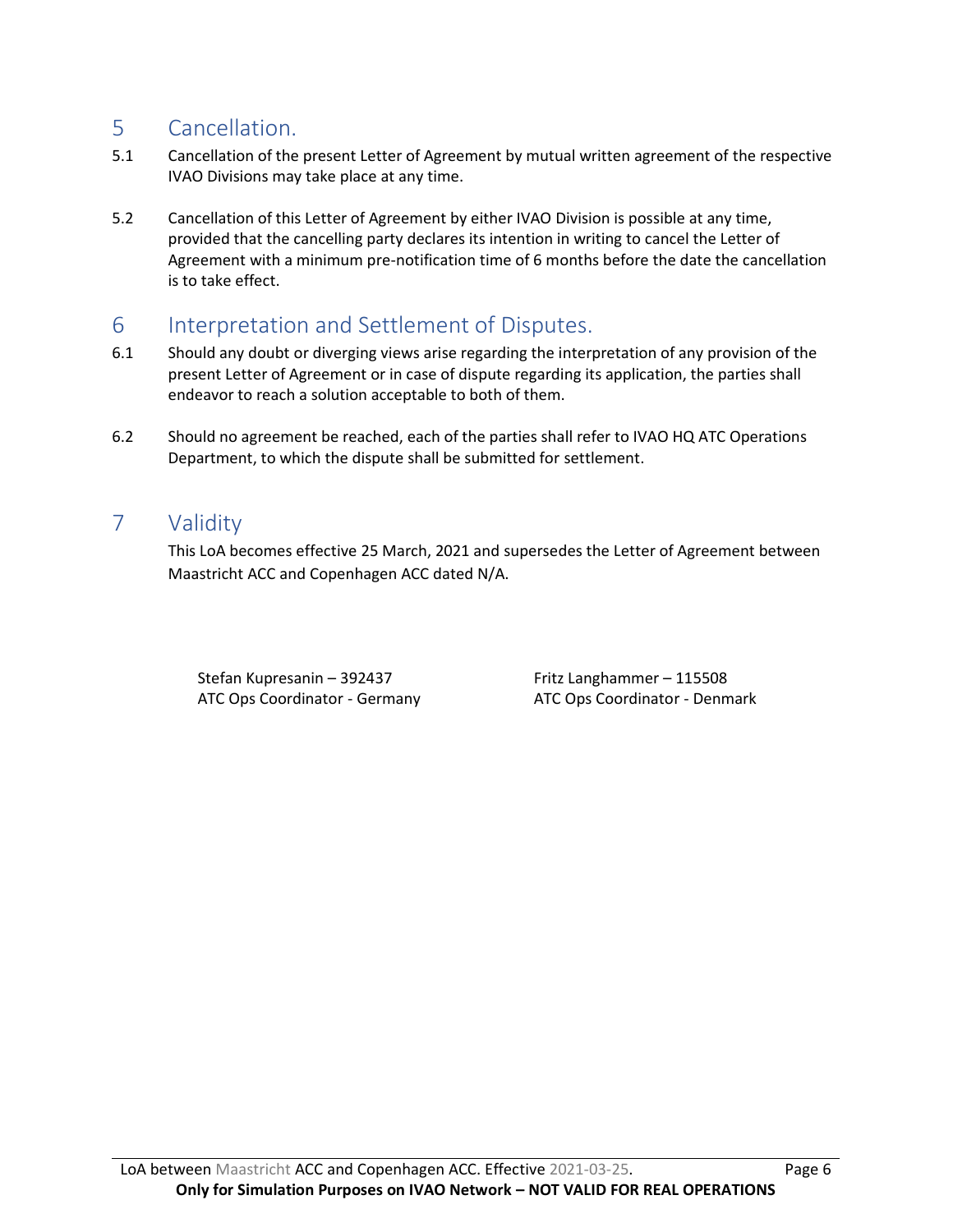# 5 Cancellation.

- 5.1 Cancellation of the present Letter of Agreement by mutual written agreement of the respective IVAO Divisions may take place at any time.
- 5.2 Cancellation of this Letter of Agreement by either IVAO Division is possible at any time, provided that the cancelling party declares its intention in writing to cancel the Letter of Agreement with a minimum pre-notification time of 6 months before the date the cancellation is to take effect.

# 6 Interpretation and Settlement of Disputes.

- 6.1 Should any doubt or diverging views arise regarding the interpretation of any provision of the present Letter of Agreement or in case of dispute regarding its application, the parties shall endeavor to reach a solution acceptable to both of them.
- 6.2 Should no agreement be reached, each of the parties shall refer to IVAO HQ ATC Operations Department, to which the dispute shall be submitted for settlement.

# 7 Validity

This LoA becomes effective 25 March, 2021 and supersedes the Letter of Agreement between Maastricht ACC and Copenhagen ACC dated N/A.

Stefan Kupresanin – 392437 Fritz Langhammer – 115508

ATC Ops Coordinator - Germany ATC Ops Coordinator - Denmark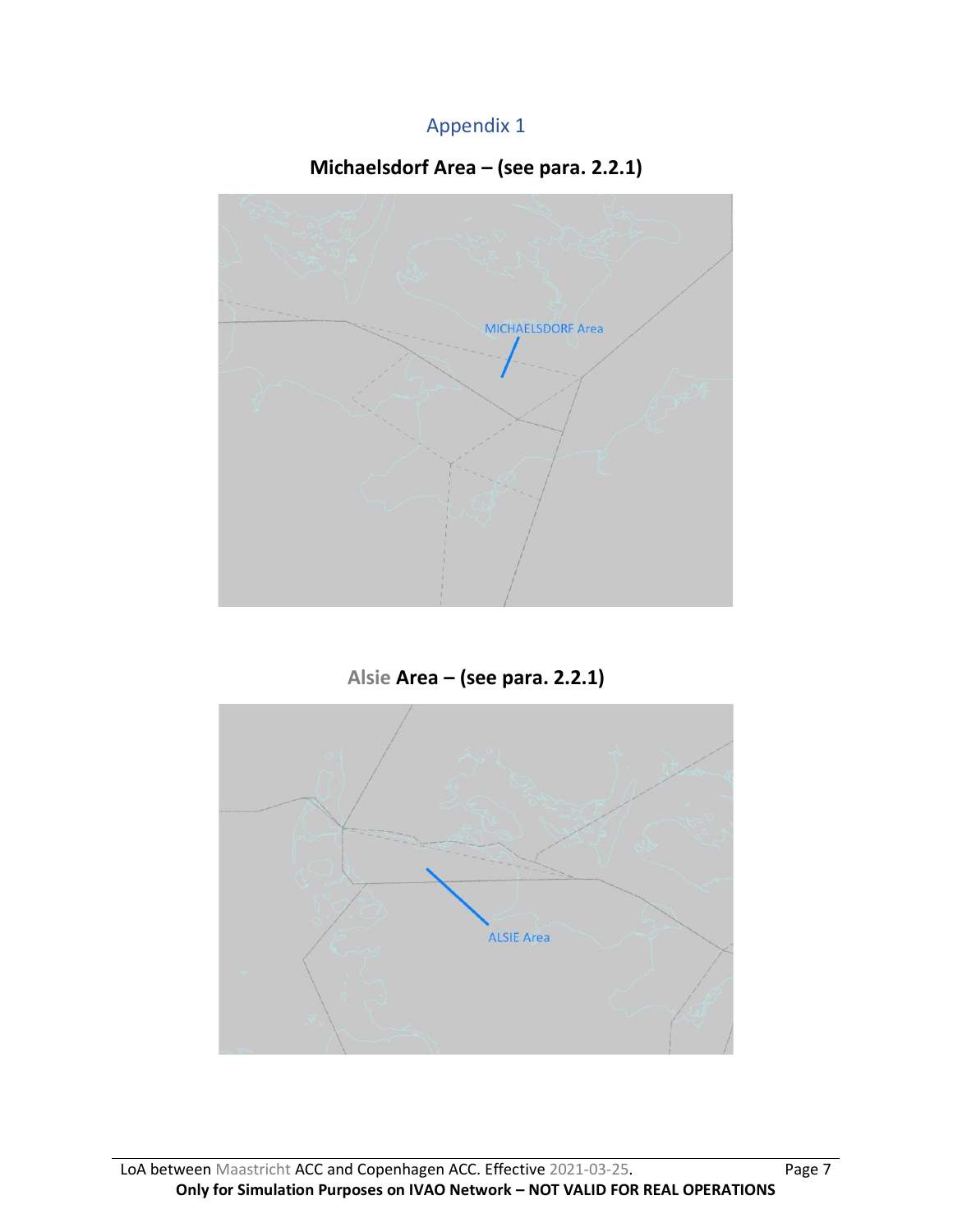# Appendix 1

# **Michaelsdorf Area – (see para. 2.2.1)**



**Alsie Area – (see para. 2.2.1)**

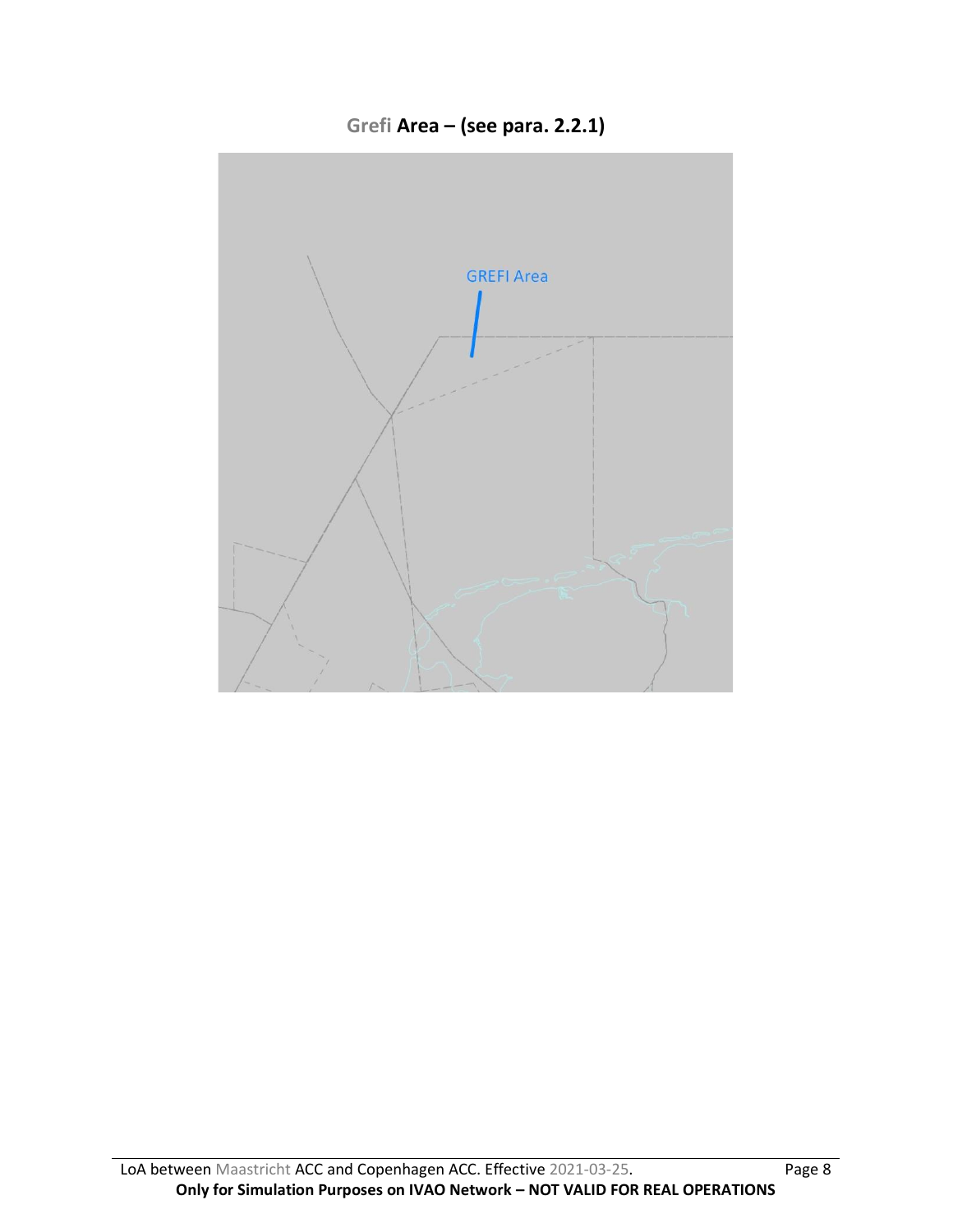**Grefi Area – (see para. 2.2.1)**

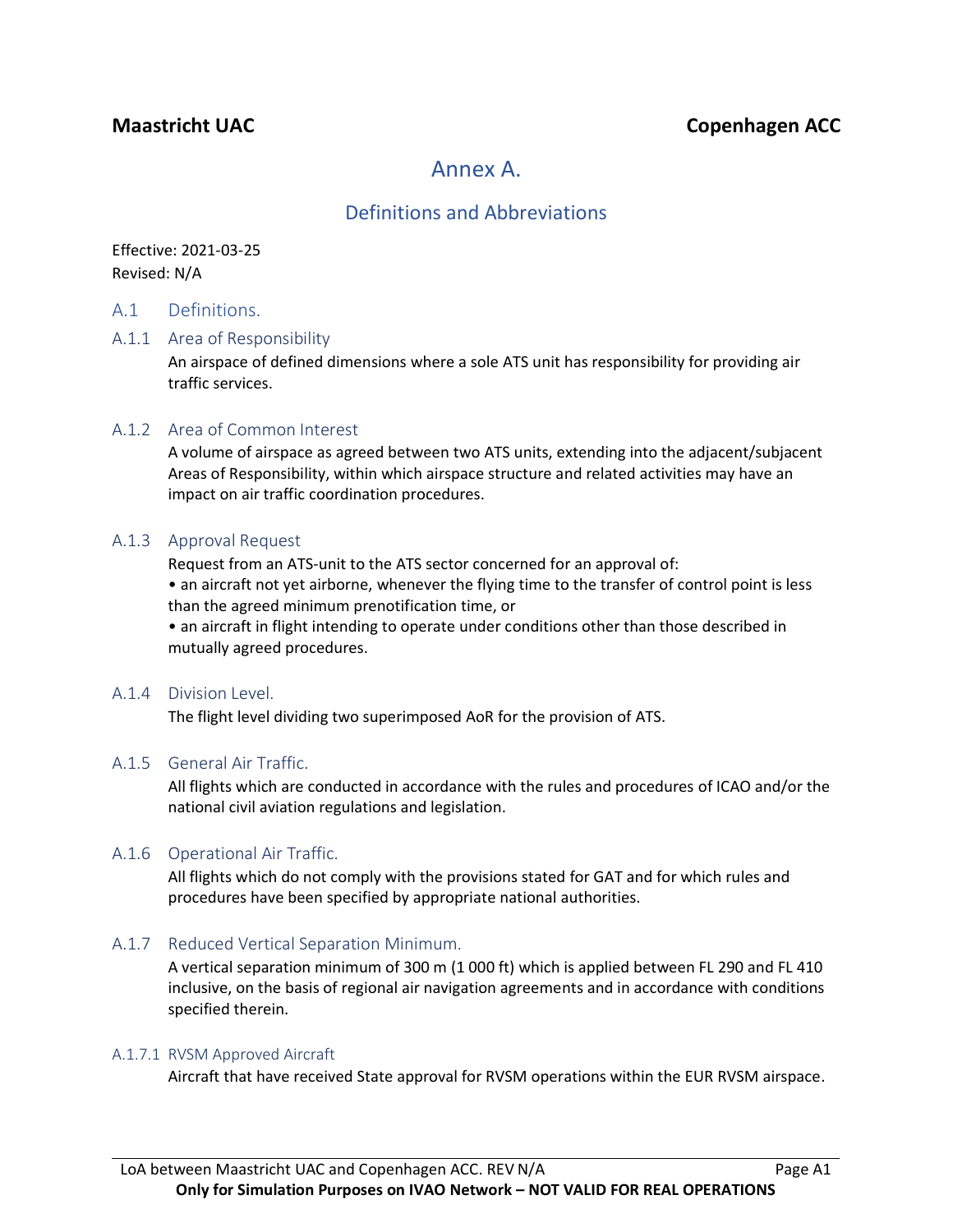# **Maastricht UAC Copenhagen ACC**

# Annex A.

## Definitions and Abbreviations

Effective: 2021-03-25 Revised: N/A

#### A.1 Definitions.

#### A.1.1 Area of Responsibility

An airspace of defined dimensions where a sole ATS unit has responsibility for providing air traffic services.

#### A.1.2 Area of Common Interest

A volume of airspace as agreed between two ATS units, extending into the adjacent/subjacent Areas of Responsibility, within which airspace structure and related activities may have an impact on air traffic coordination procedures.

#### A.1.3 Approval Request

Request from an ATS-unit to the ATS sector concerned for an approval of:

• an aircraft not yet airborne, whenever the flying time to the transfer of control point is less than the agreed minimum prenotification time, or

• an aircraft in flight intending to operate under conditions other than those described in mutually agreed procedures.

#### A.1.4 Division Level.

The flight level dividing two superimposed AoR for the provision of ATS.

#### A.1.5 General Air Traffic.

All flights which are conducted in accordance with the rules and procedures of ICAO and/or the national civil aviation regulations and legislation.

#### A.1.6 Operational Air Traffic.

All flights which do not comply with the provisions stated for GAT and for which rules and procedures have been specified by appropriate national authorities.

#### A.1.7 Reduced Vertical Separation Minimum.

A vertical separation minimum of 300 m (1 000 ft) which is applied between FL 290 and FL 410 inclusive, on the basis of regional air navigation agreements and in accordance with conditions specified therein.

#### A.1.7.1 RVSM Approved Aircraft

Aircraft that have received State approval for RVSM operations within the EUR RVSM airspace.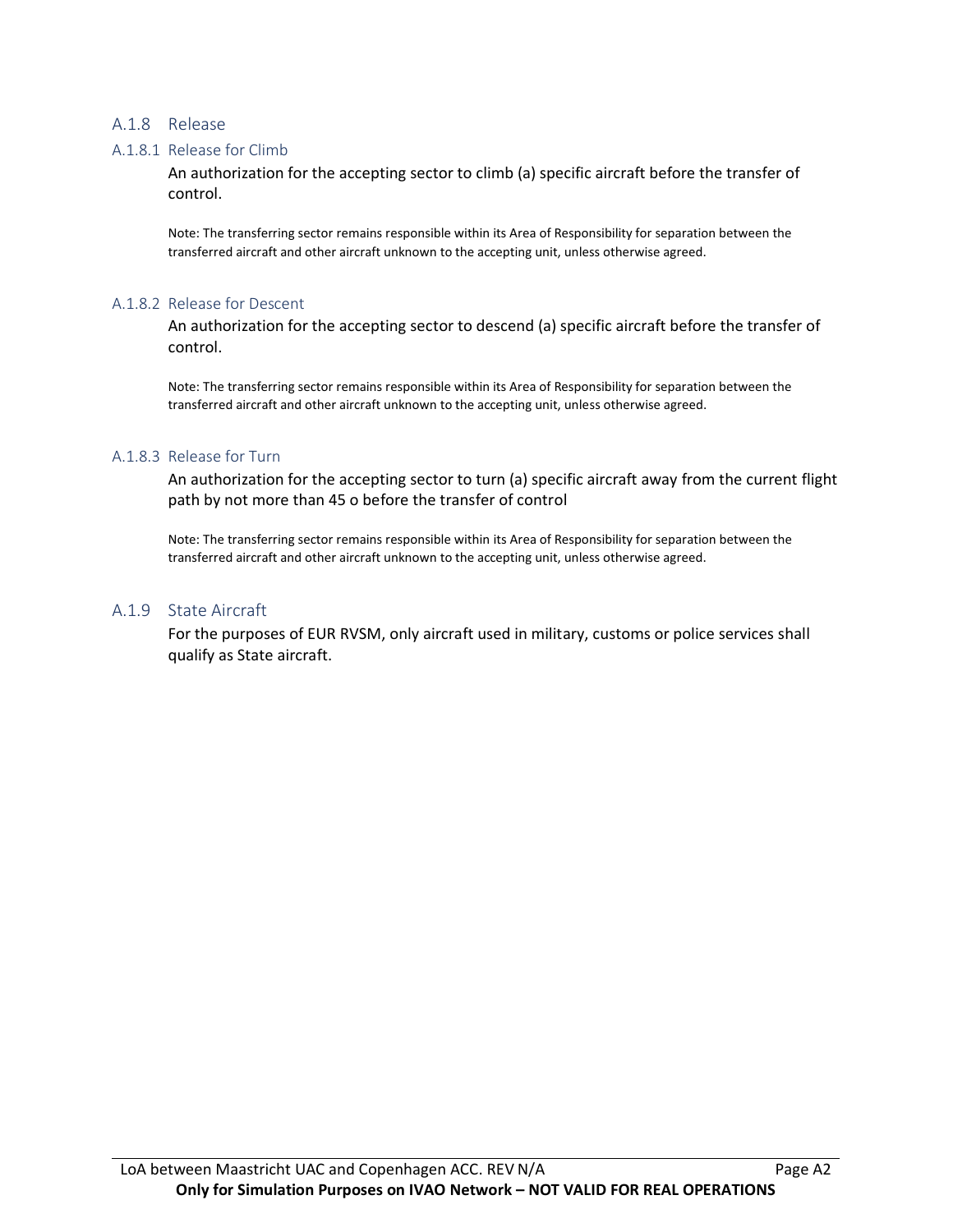#### A.1.8 Release

#### A.1.8.1 Release for Climb

An authorization for the accepting sector to climb (a) specific aircraft before the transfer of control.

Note: The transferring sector remains responsible within its Area of Responsibility for separation between the transferred aircraft and other aircraft unknown to the accepting unit, unless otherwise agreed.

#### A.1.8.2 Release for Descent

An authorization for the accepting sector to descend (a) specific aircraft before the transfer of control.

Note: The transferring sector remains responsible within its Area of Responsibility for separation between the transferred aircraft and other aircraft unknown to the accepting unit, unless otherwise agreed.

#### A.1.8.3 Release for Turn

An authorization for the accepting sector to turn (a) specific aircraft away from the current flight path by not more than 45 o before the transfer of control

Note: The transferring sector remains responsible within its Area of Responsibility for separation between the transferred aircraft and other aircraft unknown to the accepting unit, unless otherwise agreed.

#### A.1.9 State Aircraft

For the purposes of EUR RVSM, only aircraft used in military, customs or police services shall qualify as State aircraft.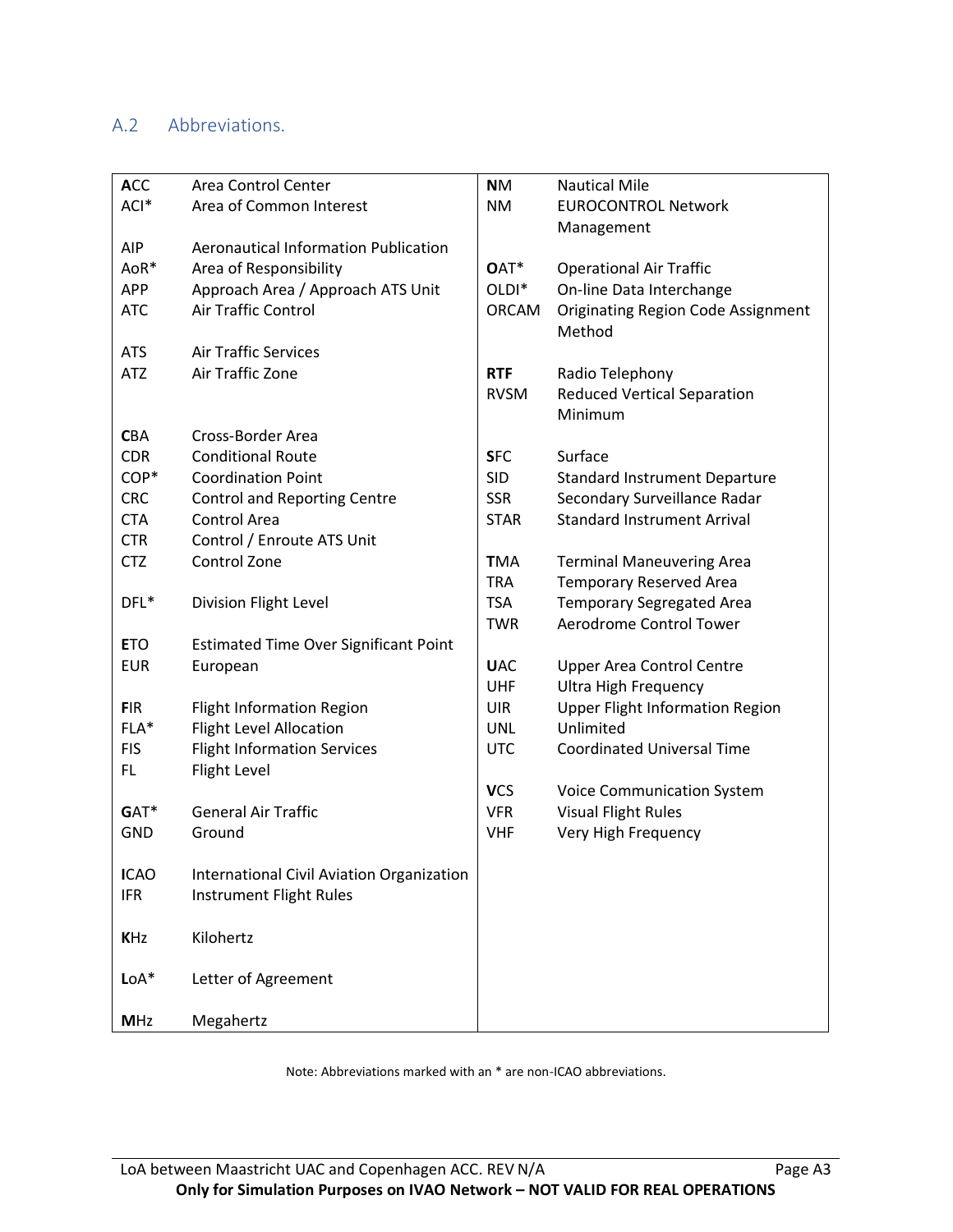# A.2 Abbreviations.

| <b>ACC</b>  | Area Control Center                          | <b>NM</b>         | <b>Nautical Mile</b>                      |
|-------------|----------------------------------------------|-------------------|-------------------------------------------|
| ACI*        | Area of Common Interest                      | <b>NM</b>         | <b>EUROCONTROL Network</b>                |
|             |                                              |                   | Management                                |
| <b>AIP</b>  | <b>Aeronautical Information Publication</b>  |                   |                                           |
| AoR*        | Area of Responsibility                       | OAT*              | <b>Operational Air Traffic</b>            |
| <b>APP</b>  | Approach Area / Approach ATS Unit            | OLDI <sup>*</sup> | On-line Data Interchange                  |
| <b>ATC</b>  | Air Traffic Control                          | <b>ORCAM</b>      | <b>Originating Region Code Assignment</b> |
|             |                                              |                   | Method                                    |
| <b>ATS</b>  | <b>Air Traffic Services</b>                  |                   |                                           |
| <b>ATZ</b>  | Air Traffic Zone                             | <b>RTF</b>        | Radio Telephony                           |
|             |                                              | <b>RVSM</b>       | <b>Reduced Vertical Separation</b>        |
|             |                                              |                   | Minimum                                   |
| <b>CBA</b>  | Cross-Border Area                            |                   |                                           |
| <b>CDR</b>  | <b>Conditional Route</b>                     | <b>SFC</b>        | Surface                                   |
| COP*        | <b>Coordination Point</b>                    | <b>SID</b>        | <b>Standard Instrument Departure</b>      |
| <b>CRC</b>  | <b>Control and Reporting Centre</b>          | <b>SSR</b>        | Secondary Surveillance Radar              |
| <b>CTA</b>  | Control Area                                 | <b>STAR</b>       | <b>Standard Instrument Arrival</b>        |
| <b>CTR</b>  | Control / Enroute ATS Unit                   |                   |                                           |
| <b>CTZ</b>  | Control Zone                                 | <b>TMA</b>        | <b>Terminal Maneuvering Area</b>          |
|             |                                              | <b>TRA</b>        | <b>Temporary Reserved Area</b>            |
| DFL*        | Division Flight Level                        | <b>TSA</b>        | <b>Temporary Segregated Area</b>          |
|             |                                              | <b>TWR</b>        | Aerodrome Control Tower                   |
| <b>ETO</b>  | <b>Estimated Time Over Significant Point</b> |                   |                                           |
| <b>EUR</b>  | European                                     | <b>UAC</b>        | <b>Upper Area Control Centre</b>          |
|             |                                              | <b>UHF</b>        | <b>Ultra High Frequency</b>               |
| <b>FIR</b>  | <b>Flight Information Region</b>             | <b>UIR</b>        | <b>Upper Flight Information Region</b>    |
| FLA*        | <b>Flight Level Allocation</b>               | <b>UNL</b>        | Unlimited                                 |
| <b>FIS</b>  | <b>Flight Information Services</b>           | <b>UTC</b>        | <b>Coordinated Universal Time</b>         |
| FL.         | Flight Level                                 |                   |                                           |
|             |                                              | <b>VCS</b>        | <b>Voice Communication System</b>         |
| GAT*        | <b>General Air Traffic</b>                   | <b>VFR</b>        | <b>Visual Flight Rules</b>                |
| <b>GND</b>  | Ground                                       | <b>VHF</b>        | Very High Frequency                       |
|             |                                              |                   |                                           |
| <b>ICAO</b> | International Civil Aviation Organization    |                   |                                           |
| <b>IFR</b>  | Instrument Flight Rules                      |                   |                                           |
|             |                                              |                   |                                           |
| <b>KHz</b>  | Kilohertz                                    |                   |                                           |
|             |                                              |                   |                                           |
| $LoA*$      | Letter of Agreement                          |                   |                                           |
|             |                                              |                   |                                           |
| <b>MHz</b>  | Megahertz                                    |                   |                                           |

Note: Abbreviations marked with an \* are non-ICAO abbreviations.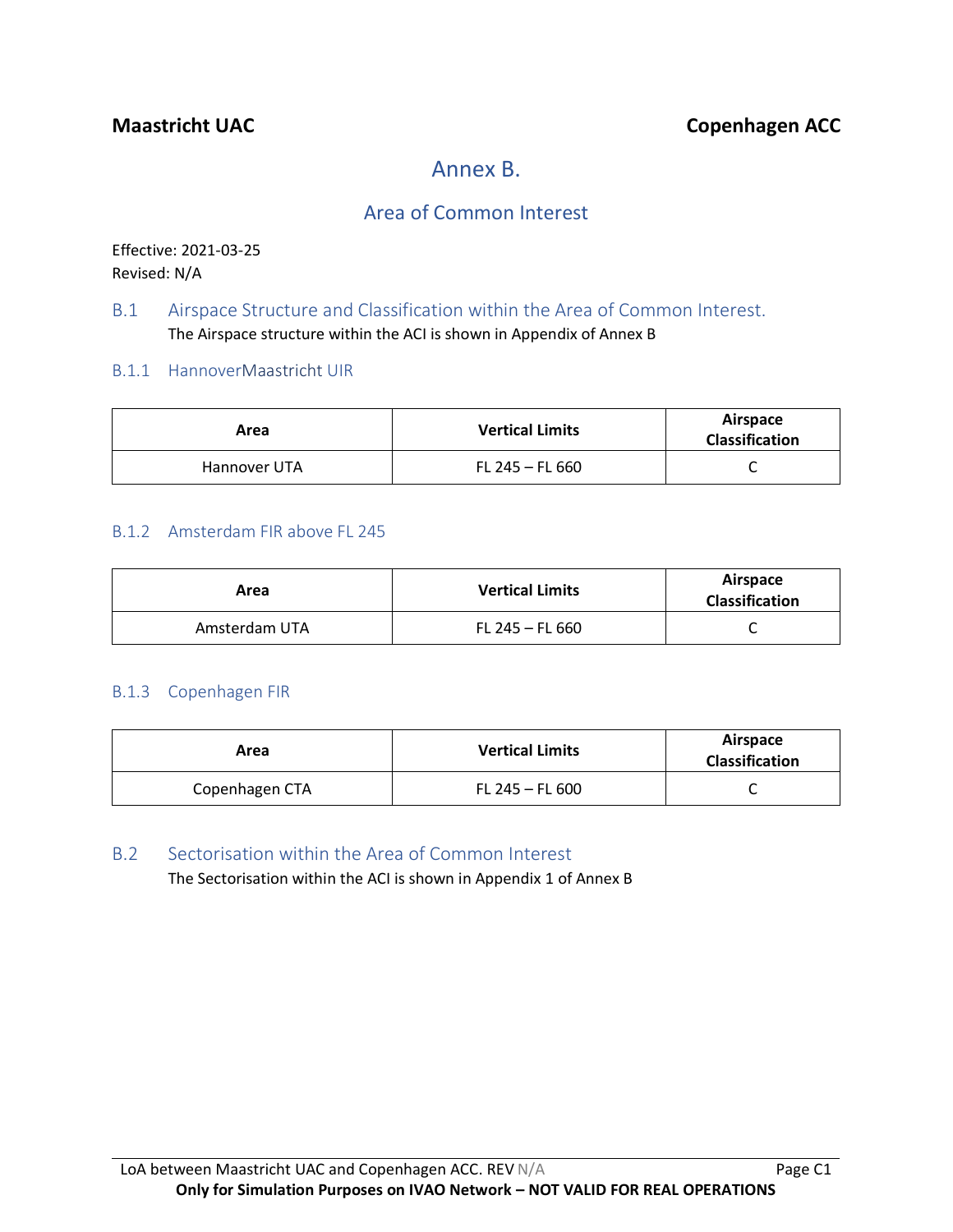# Annex B.

# Area of Common Interest

Effective: 2021-03-25 Revised: N/A

### B.1 Airspace Structure and Classification within the Area of Common Interest. The Airspace structure within the ACI is shown in Appendix of Annex B

### B.1.1 HannoverMaastricht UIR

| Area         | <b>Vertical Limits</b> | Airspace<br><b>Classification</b> |
|--------------|------------------------|-----------------------------------|
| Hannover UTA | FL 245 - FL 660        |                                   |

### B.1.2 Amsterdam FIR above FL 245

| Area          | <b>Vertical Limits</b> | Airspace<br><b>Classification</b> |
|---------------|------------------------|-----------------------------------|
| Amsterdam UTA | $FL 245 - FL 660$      |                                   |

### B.1.3 Copenhagen FIR

| Area           | <b>Vertical Limits</b> | Airspace<br><b>Classification</b> |
|----------------|------------------------|-----------------------------------|
| Copenhagen CTA | FL 245 - FL 600        |                                   |

### B.2 Sectorisation within the Area of Common Interest

The Sectorisation within the ACI is shown in Appendix 1 of Annex B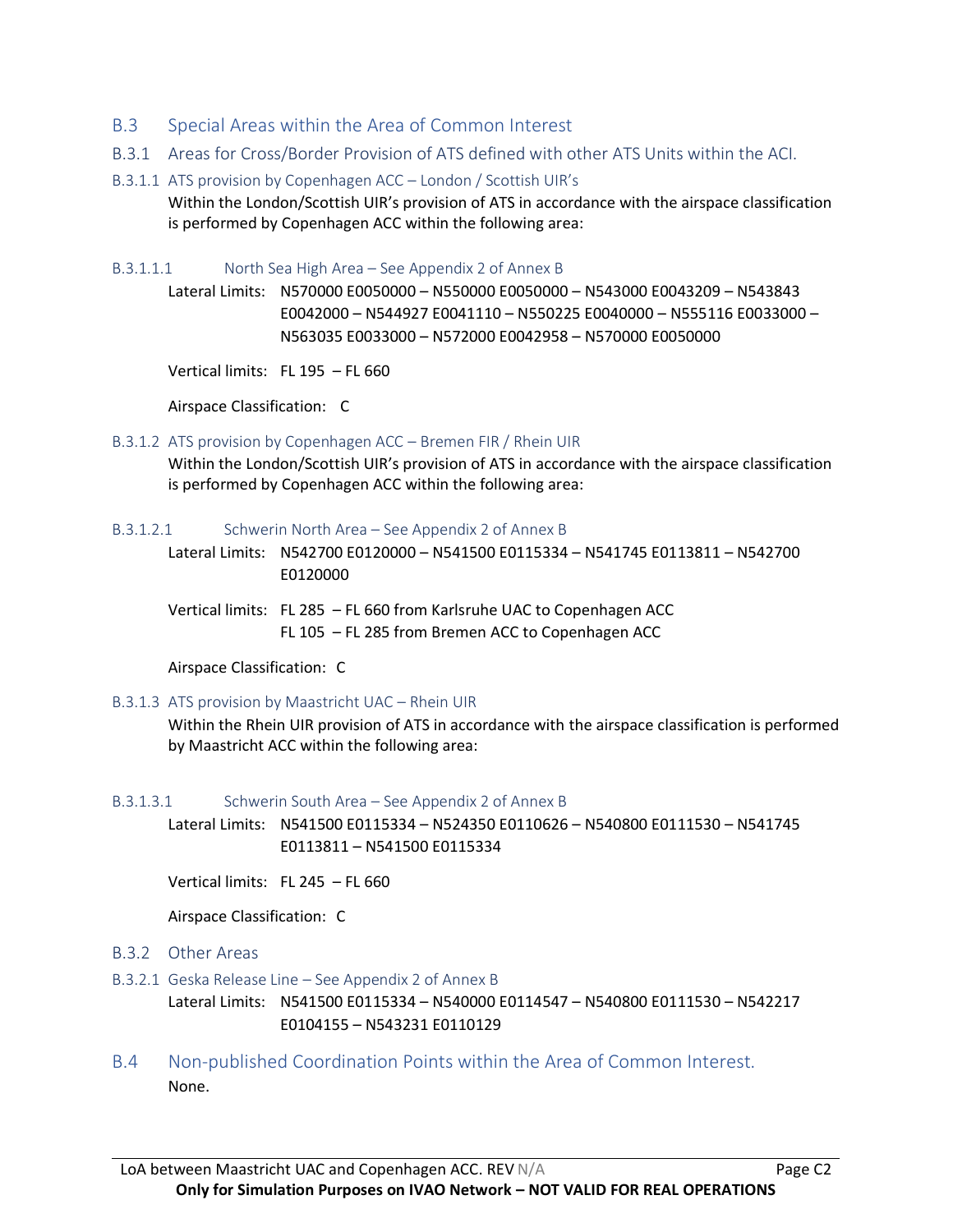- B.3 Special Areas within the Area of Common Interest
- B.3.1 Areas for Cross/Border Provision of ATS defined with other ATS Units within the ACI.
- B.3.1.1 ATS provision by Copenhagen ACC London / Scottish UIR's Within the London/Scottish UIR's provision of ATS in accordance with the airspace classification is performed by Copenhagen ACC within the following area:

B.3.1.1.1 North Sea High Area – See Appendix 2 of Annex B

Lateral Limits: N570000 E0050000 – N550000 E0050000 – N543000 E0043209 – N543843 E0042000 – N544927 E0041110 – N550225 E0040000 – N555116 E0033000 – N563035 E0033000 – N572000 E0042958 – N570000 E0050000

Vertical limits: FL 195 – FL 660

Airspace Classification: C

#### B.3.1.2 ATS provision by Copenhagen ACC – Bremen FIR / Rhein UIR

Within the London/Scottish UIR's provision of ATS in accordance with the airspace classification is performed by Copenhagen ACC within the following area:

#### B.3.1.2.1 Schwerin North Area – See Appendix 2 of Annex B

Lateral Limits: N542700 E0120000 – N541500 E0115334 – N541745 E0113811 – N542700 E0120000

Vertical limits: FL 285 – FL 660 from Karlsruhe UAC to Copenhagen ACC FL 105 – FL 285 from Bremen ACC to Copenhagen ACC

Airspace Classification: C

#### B.3.1.3 ATS provision by Maastricht UAC – Rhein UIR

Within the Rhein UIR provision of ATS in accordance with the airspace classification is performed by Maastricht ACC within the following area:

#### B.3.1.3.1 Schwerin South Area – See Appendix 2 of Annex B

Lateral Limits: N541500 E0115334 – N524350 E0110626 – N540800 E0111530 – N541745 E0113811 – N541500 E0115334

Vertical limits: FL 245 – FL 660

Airspace Classification: C

#### B.3.2 Other Areas

B.3.2.1 Geska Release Line – See Appendix 2 of Annex B

Lateral Limits: N541500 E0115334 – N540000 E0114547 – N540800 E0111530 – N542217 E0104155 – N543231 E0110129

B.4 Non-published Coordination Points within the Area of Common Interest. None.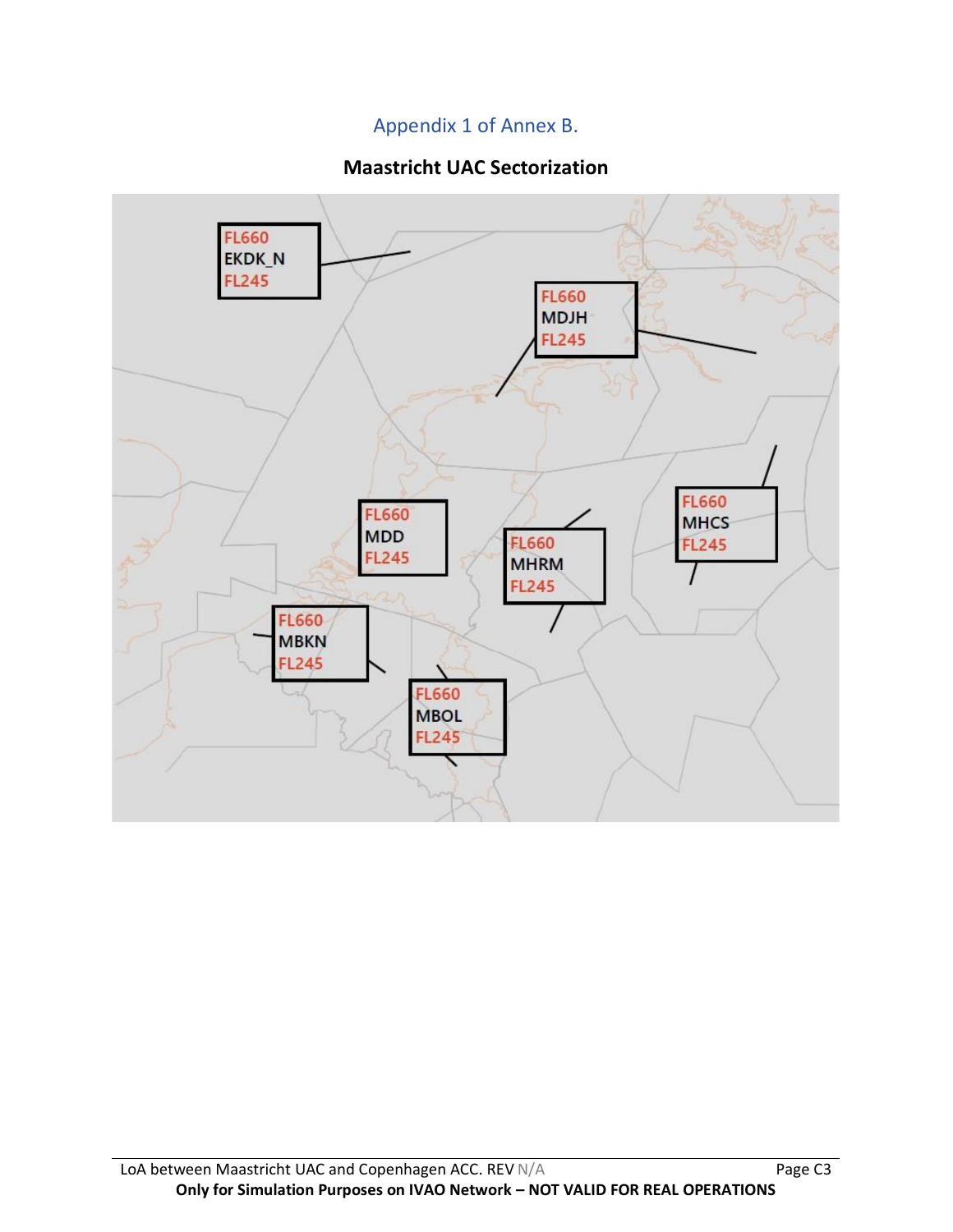# Appendix 1 of Annex B.

# **Maastricht UAC Sectorization**

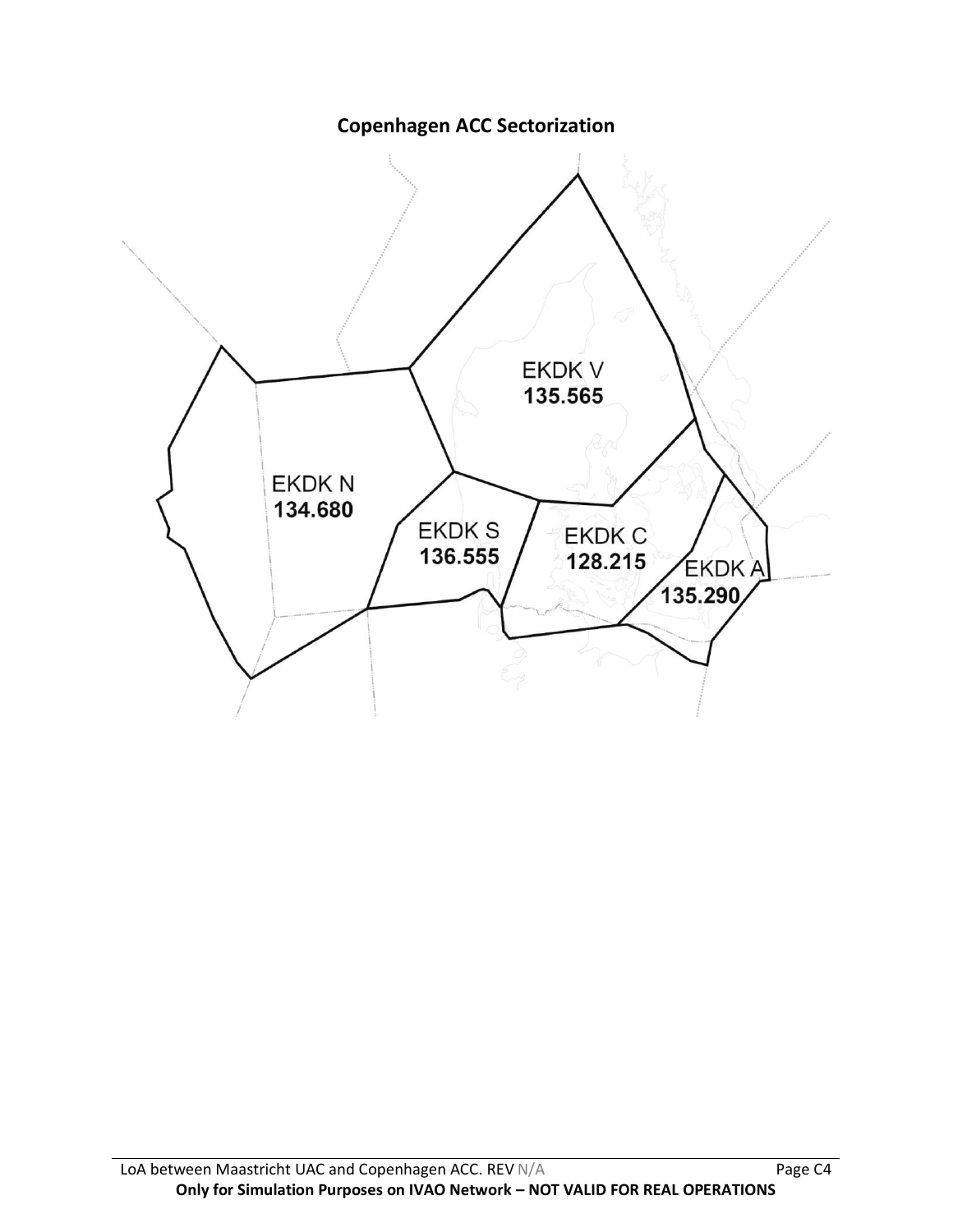**Copenhagen ACC Sectorization**

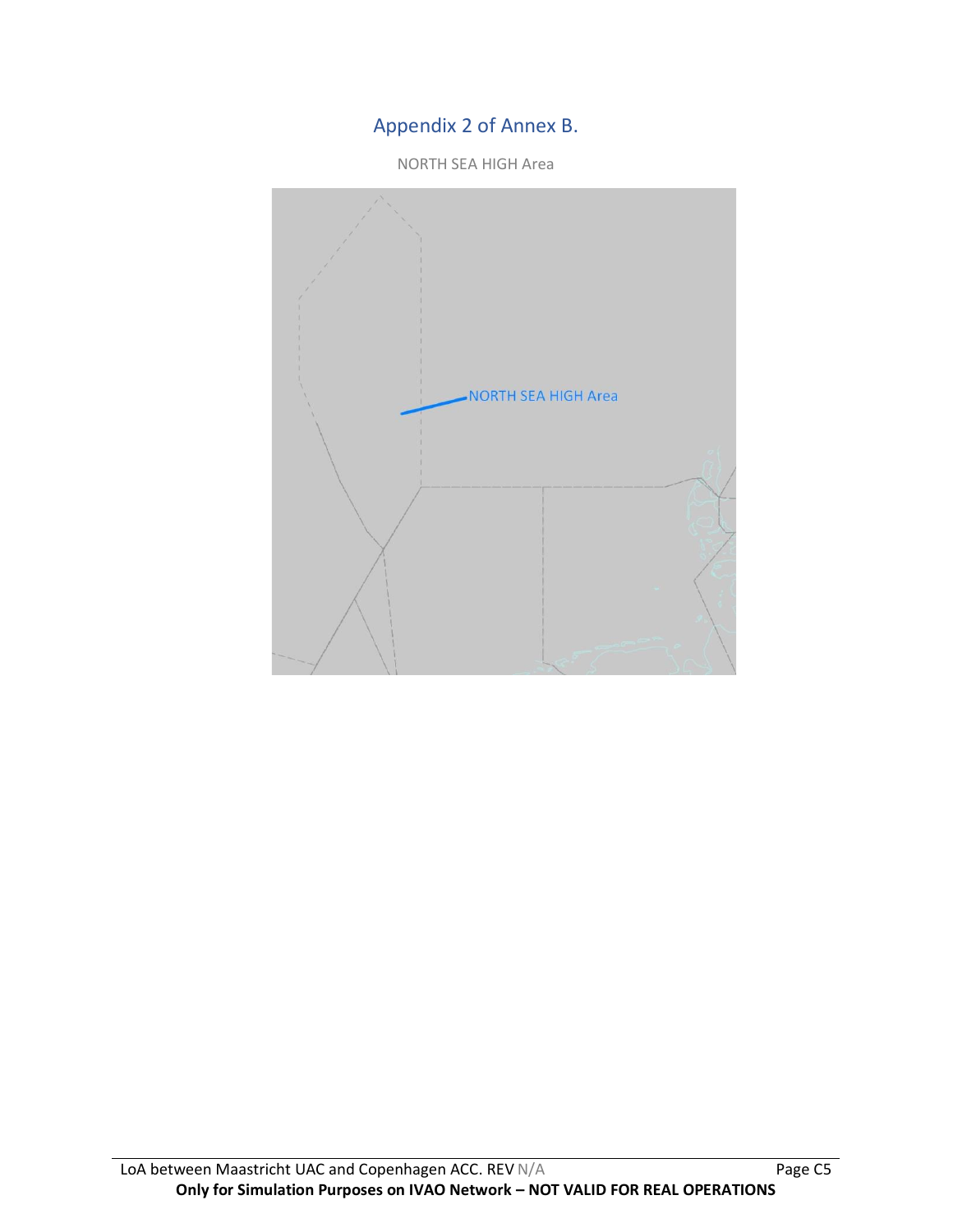# Appendix 2 of Annex B.

NORTH SEA HIGH Area

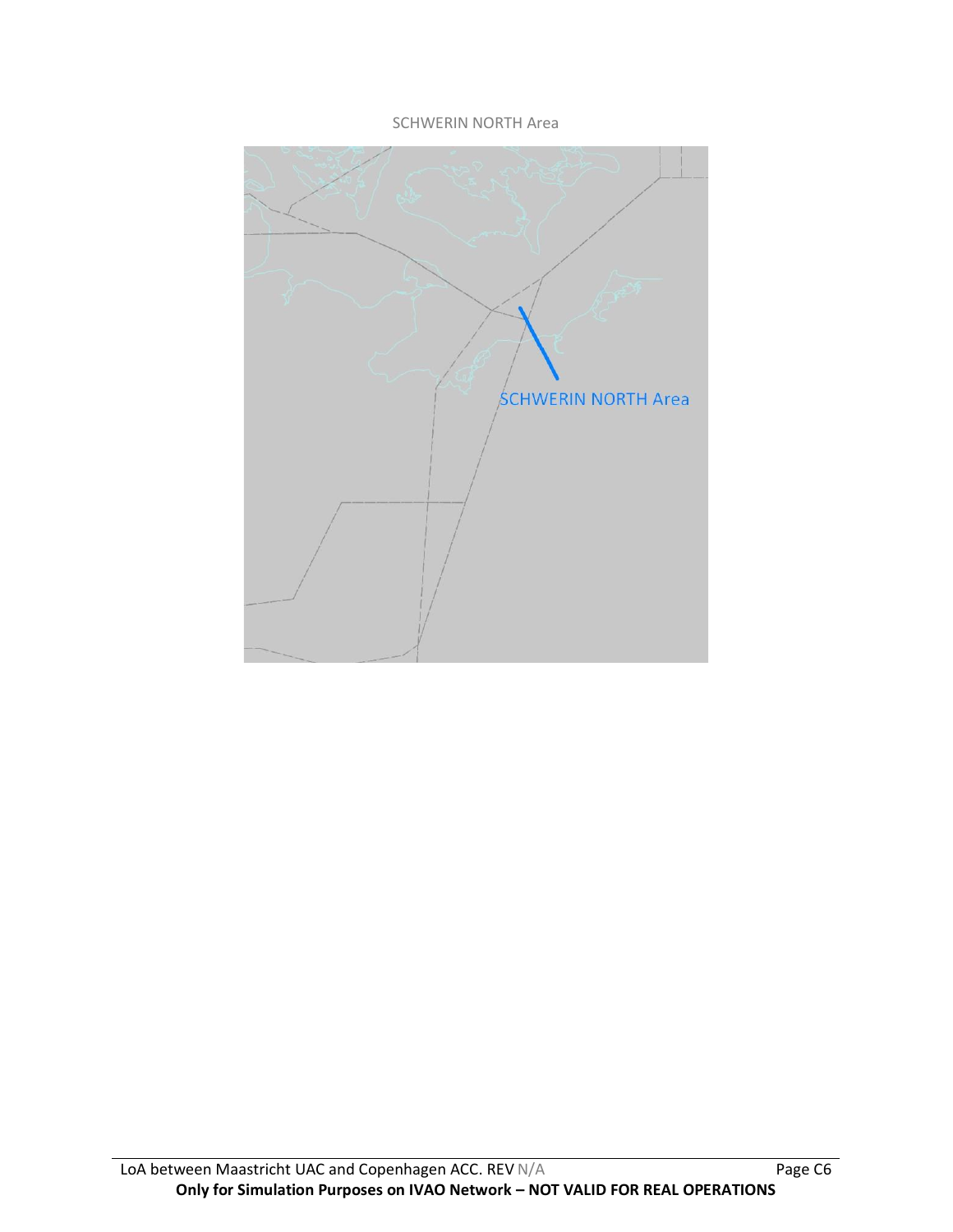#### SCHWERIN NORTH Area

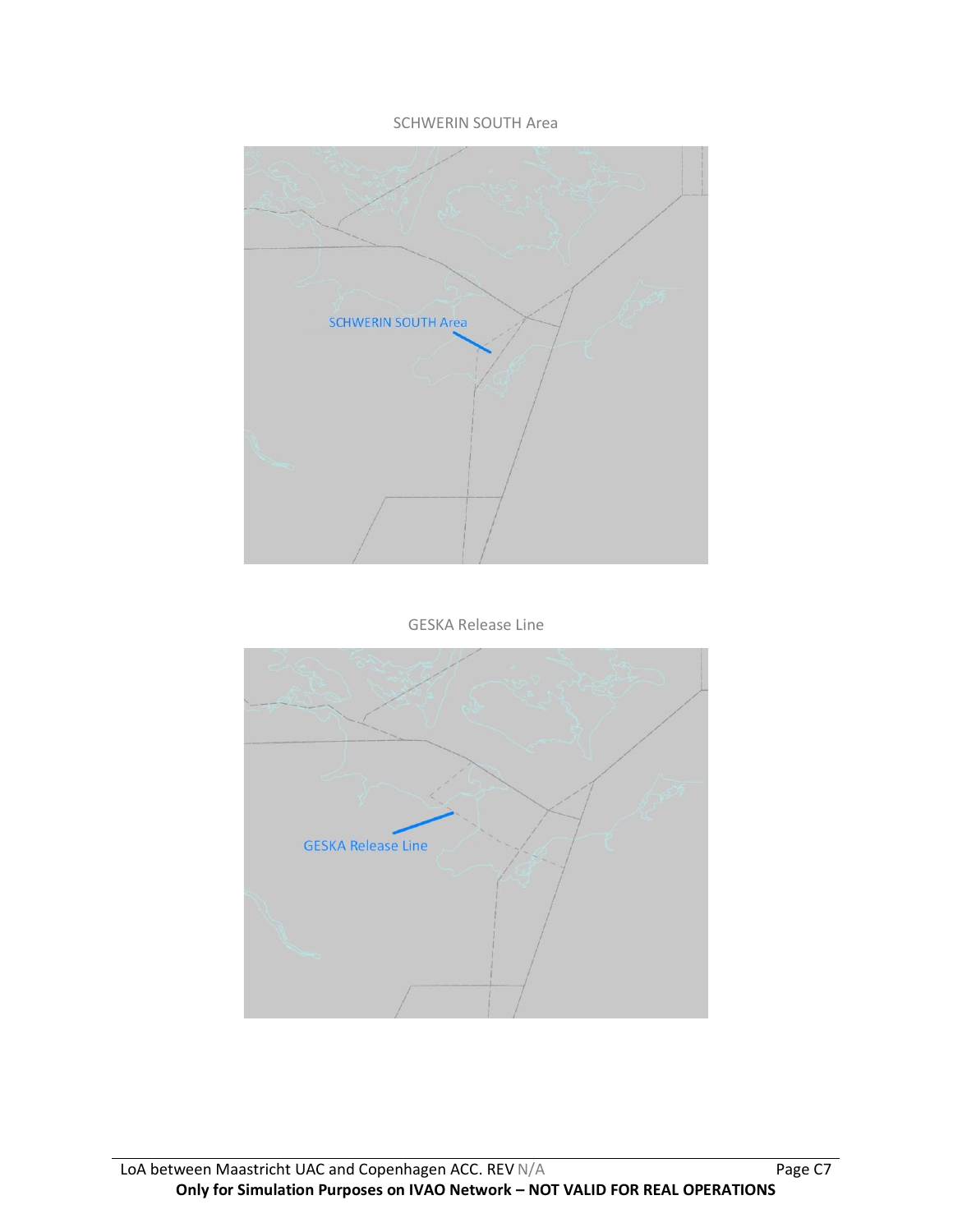#### SCHWERIN SOUTH Area



#### GESKA Release Line

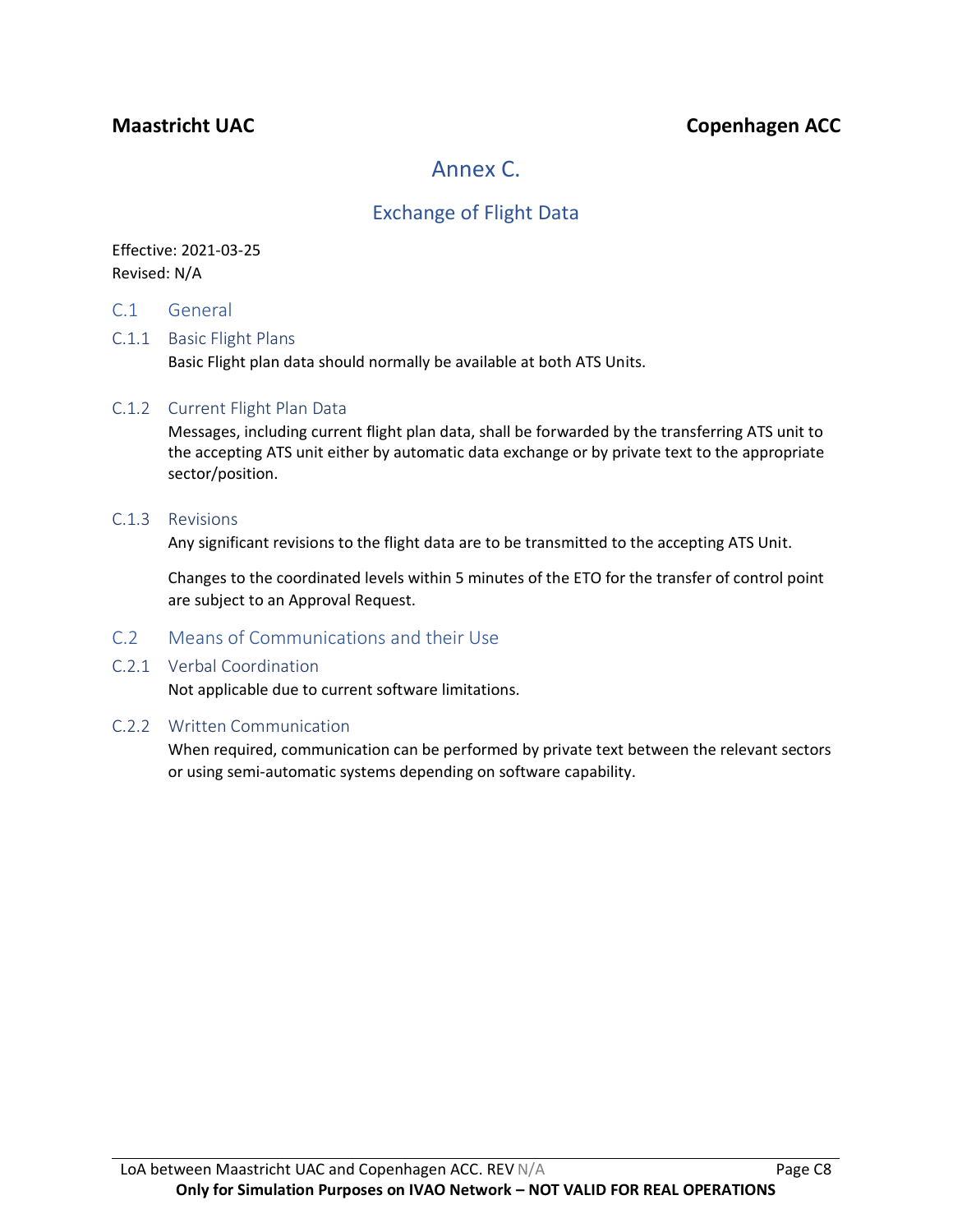# **Maastricht UAC Copenhagen ACC**

# Annex C.

# Exchange of Flight Data

### Effective: 2021-03-25 Revised: N/A

C.1 General

#### C.1.1 Basic Flight Plans

Basic Flight plan data should normally be available at both ATS Units.

#### C.1.2 Current Flight Plan Data

Messages, including current flight plan data, shall be forwarded by the transferring ATS unit to the accepting ATS unit either by automatic data exchange or by private text to the appropriate sector/position.

#### C.1.3 Revisions

Any significant revisions to the flight data are to be transmitted to the accepting ATS Unit.

Changes to the coordinated levels within 5 minutes of the ETO for the transfer of control point are subject to an Approval Request.

### C.2 Means of Communications and their Use

#### C.2.1 Verbal Coordination

Not applicable due to current software limitations.

#### C.2.2 Written Communication

When required, communication can be performed by private text between the relevant sectors or using semi-automatic systems depending on software capability.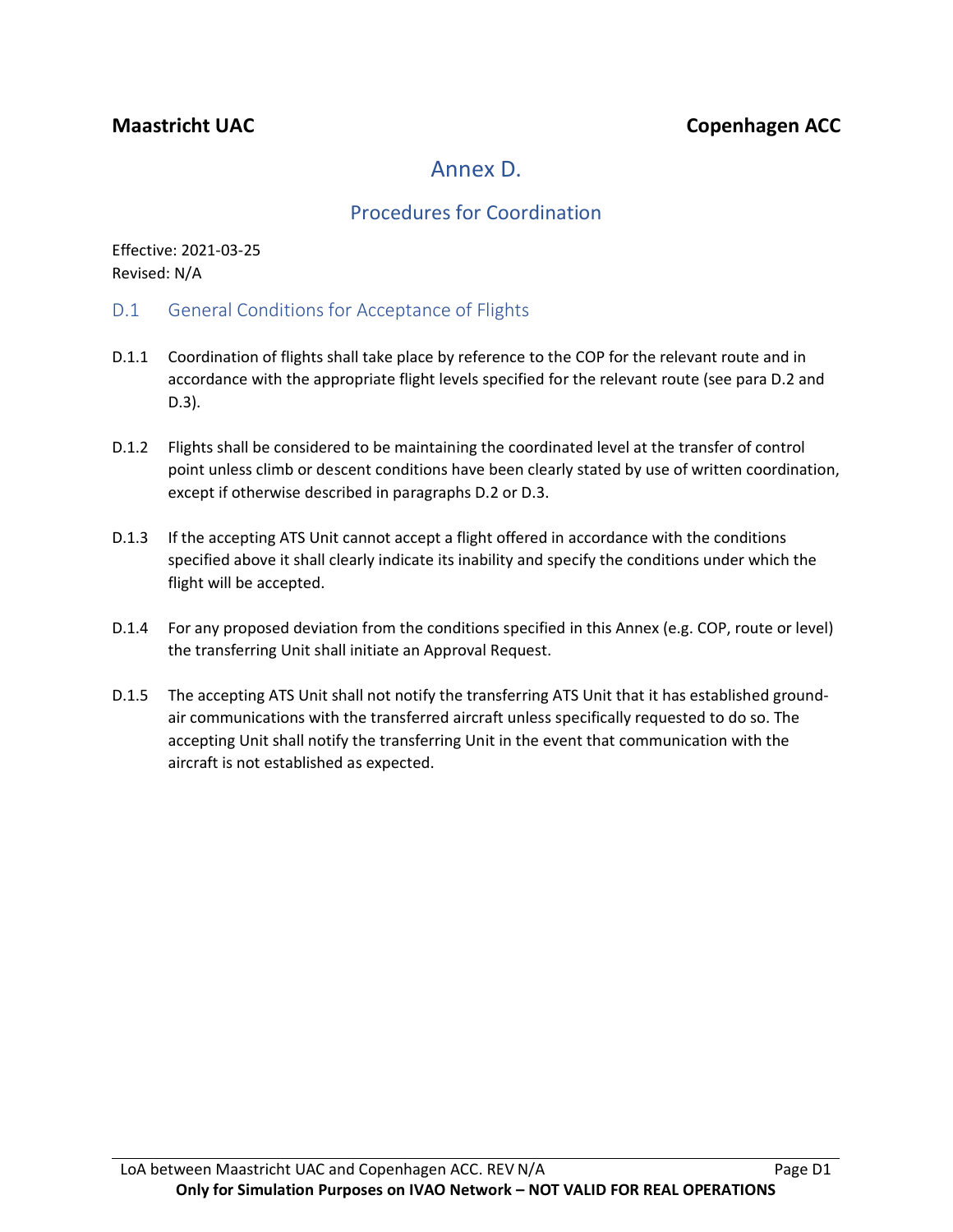# Annex D.

# Procedures for Coordination

Effective: 2021-03-25 Revised: N/A

- D.1 General Conditions for Acceptance of Flights
- D.1.1 Coordination of flights shall take place by reference to the COP for the relevant route and in accordance with the appropriate flight levels specified for the relevant route (see para D.2 and D.3).
- D.1.2 Flights shall be considered to be maintaining the coordinated level at the transfer of control point unless climb or descent conditions have been clearly stated by use of written coordination, except if otherwise described in paragraphs D.2 or D.3.
- D.1.3 If the accepting ATS Unit cannot accept a flight offered in accordance with the conditions specified above it shall clearly indicate its inability and specify the conditions under which the flight will be accepted.
- D.1.4 For any proposed deviation from the conditions specified in this Annex (e.g. COP, route or level) the transferring Unit shall initiate an Approval Request.
- D.1.5 The accepting ATS Unit shall not notify the transferring ATS Unit that it has established groundair communications with the transferred aircraft unless specifically requested to do so. The accepting Unit shall notify the transferring Unit in the event that communication with the aircraft is not established as expected.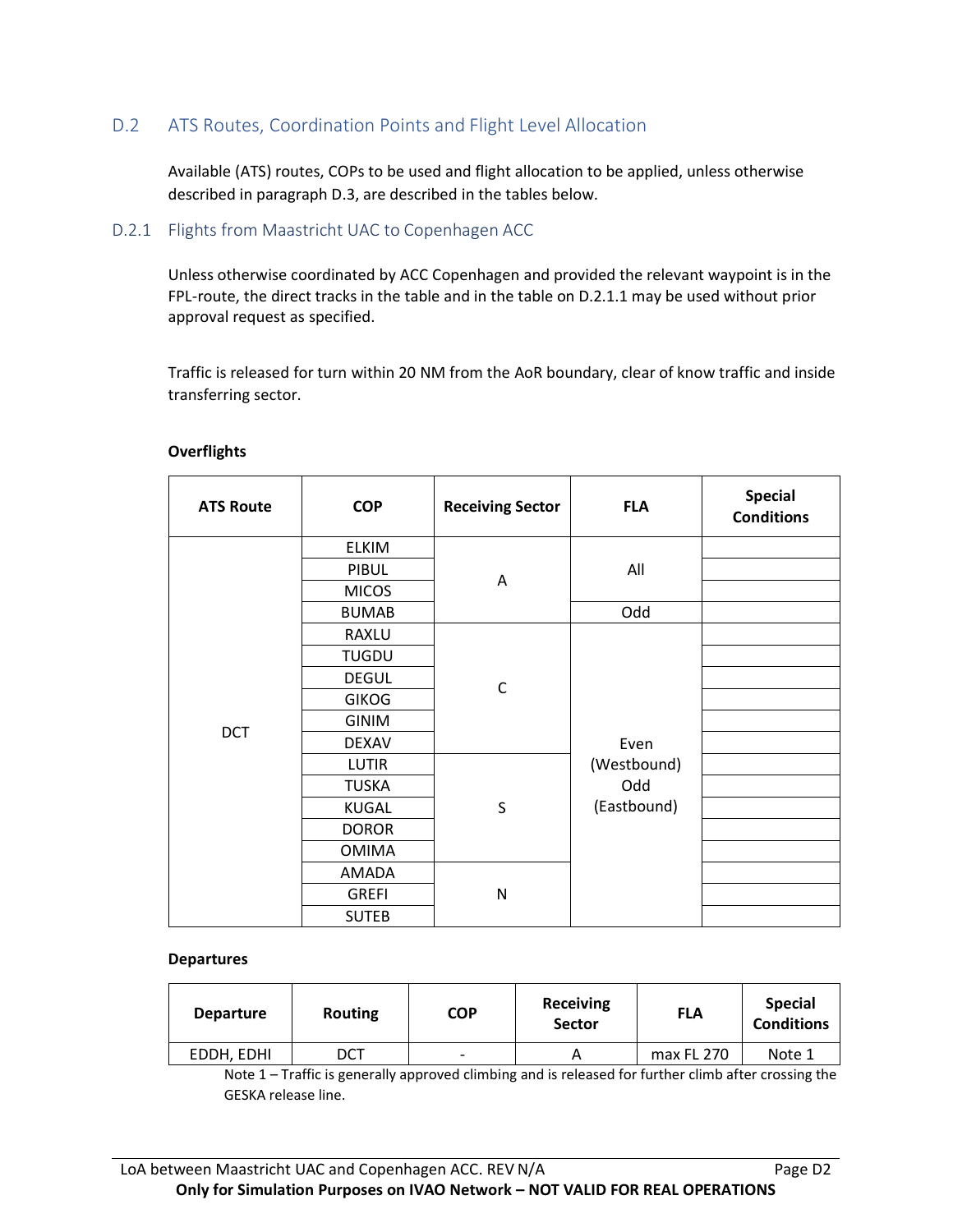### D.2 ATS Routes, Coordination Points and Flight Level Allocation

Available (ATS) routes, COPs to be used and flight allocation to be applied, unless otherwise described in paragraph D.3, are described in the tables below.

#### D.2.1 Flights from Maastricht UAC to Copenhagen ACC

Unless otherwise coordinated by ACC Copenhagen and provided the relevant waypoint is in the FPL-route, the direct tracks in the table and in the table on D.2.1.1 may be used without prior approval request as specified.

Traffic is released for turn within 20 NM from the AoR boundary, clear of know traffic and inside transferring sector.

| <b>ATS Route</b> | <b>COP</b>   | <b>Receiving Sector</b> | <b>FLA</b>                                | <b>Special</b><br><b>Conditions</b> |  |
|------------------|--------------|-------------------------|-------------------------------------------|-------------------------------------|--|
|                  | <b>ELKIM</b> |                         |                                           |                                     |  |
|                  | PIBUL        |                         | All                                       |                                     |  |
|                  | <b>MICOS</b> |                         | Α                                         |                                     |  |
|                  | <b>BUMAB</b> |                         | Odd                                       |                                     |  |
|                  | <b>RAXLU</b> |                         |                                           |                                     |  |
|                  | <b>TUGDU</b> |                         | Even<br>(Westbound)<br>Odd<br>(Eastbound) |                                     |  |
|                  | <b>DEGUL</b> | C                       |                                           |                                     |  |
|                  | <b>GIKOG</b> |                         |                                           |                                     |  |
| <b>DCT</b>       | <b>GINIM</b> |                         |                                           |                                     |  |
|                  | <b>DEXAV</b> |                         |                                           |                                     |  |
|                  | <b>LUTIR</b> |                         |                                           |                                     |  |
|                  | <b>TUSKA</b> |                         |                                           |                                     |  |
|                  | KUGAL        | S                       |                                           |                                     |  |
|                  | <b>DOROR</b> |                         |                                           |                                     |  |
|                  | <b>OMIMA</b> |                         |                                           |                                     |  |
|                  | AMADA        |                         |                                           |                                     |  |
|                  | <b>GREFI</b> | N                       |                                           |                                     |  |
|                  | <b>SUTEB</b> |                         |                                           |                                     |  |

#### **Overflights**

#### **Departures**

| <b>Departure</b> | Routing | <b>COP</b>               | <b>Receiving</b><br><b>Sector</b> | <b>FLA</b> | <b>Special</b><br><b>Conditions</b> |
|------------------|---------|--------------------------|-----------------------------------|------------|-------------------------------------|
| EDDH. EDHI       | DCT     | $\overline{\phantom{0}}$ |                                   | max FL 270 | Note 1                              |

Note 1 – Traffic is generally approved climbing and is released for further climb after crossing the GESKA release line.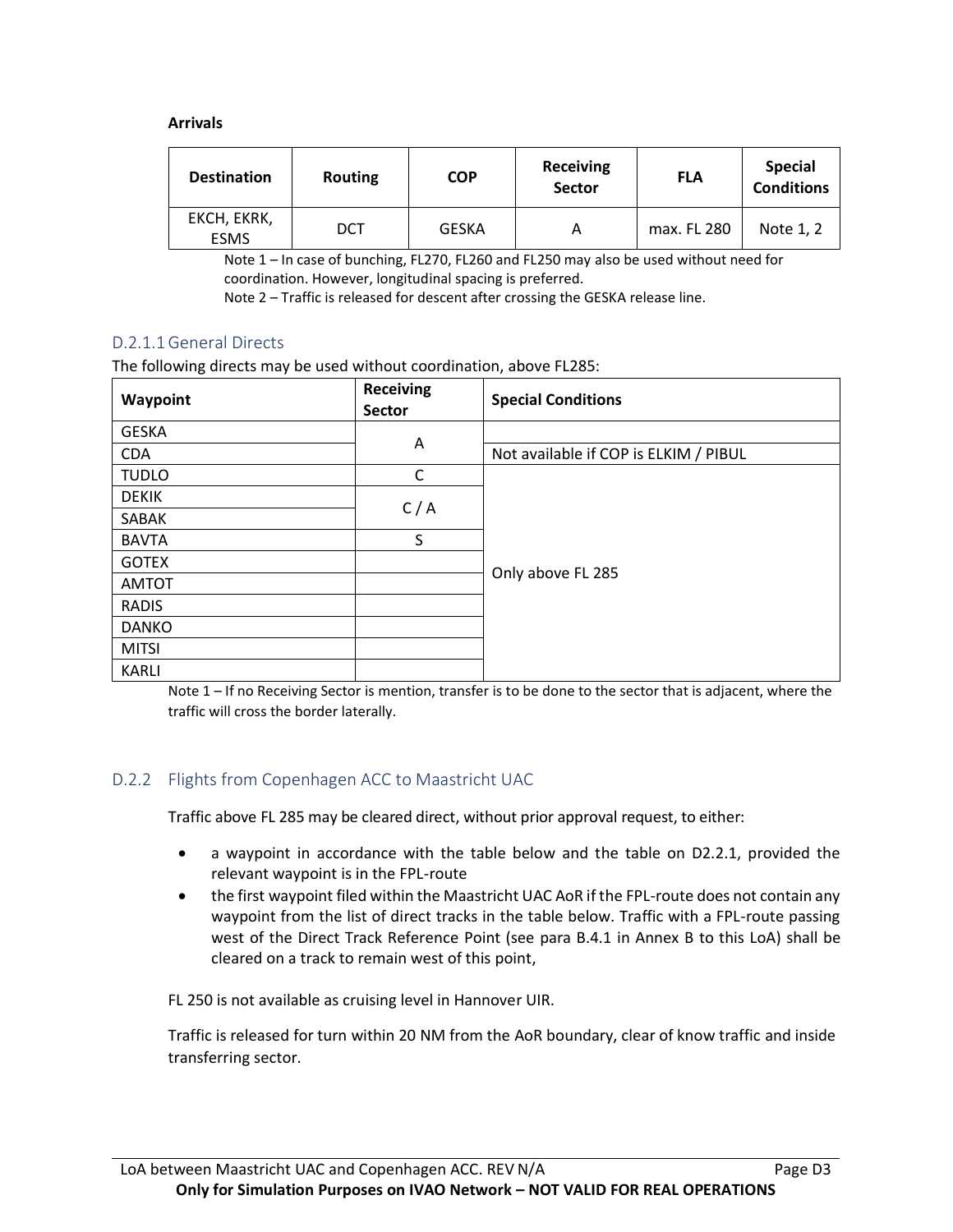#### **Arrivals**

| <b>Destination</b>         | <b>Routing</b> | <b>COP</b>   | <b>Receiving</b><br><b>Sector</b> | <b>FLA</b>  | <b>Special</b><br><b>Conditions</b> |
|----------------------------|----------------|--------------|-----------------------------------|-------------|-------------------------------------|
| EKCH, EKRK,<br><b>ESMS</b> | DCT            | <b>GESKA</b> |                                   | max. FL 280 | Note 1, 2                           |

Note 1 – In case of bunching, FL270, FL260 and FL250 may also be used without need for coordination. However, longitudinal spacing is preferred.

Note 2 – Traffic is released for descent after crossing the GESKA release line.

### D.2.1.1General Directs

The following directs may be used without coordination, above FL285:

| Waypoint     | <b>Receiving</b><br>Sector | <b>Special Conditions</b>             |  |
|--------------|----------------------------|---------------------------------------|--|
| <b>GESKA</b> |                            |                                       |  |
| <b>CDA</b>   | A                          | Not available if COP is ELKIM / PIBUL |  |
| <b>TUDLO</b> | $\mathsf C$                |                                       |  |
| <b>DEKIK</b> | C/A                        |                                       |  |
| SABAK        |                            |                                       |  |
| <b>BAVTA</b> | S                          |                                       |  |
| <b>GOTEX</b> |                            |                                       |  |
| <b>AMTOT</b> |                            | Only above FL 285                     |  |
| <b>RADIS</b> |                            |                                       |  |
| <b>DANKO</b> |                            |                                       |  |
| <b>MITSI</b> |                            |                                       |  |
| <b>KARLI</b> |                            |                                       |  |

Note 1 – If no Receiving Sector is mention, transfer is to be done to the sector that is adjacent, where the traffic will cross the border laterally.

#### D.2.2 Flights from Copenhagen ACC to Maastricht UAC

Traffic above FL 285 may be cleared direct, without prior approval request, to either:

- a waypoint in accordance with the table below and the table on D2.2.1, provided the relevant waypoint is in the FPL-route
- the first waypoint filed within the Maastricht UAC AoR if the FPL-route does not contain any waypoint from the list of direct tracks in the table below. Traffic with a FPL-route passing west of the Direct Track Reference Point (see para B.4.1 in Annex B to this LoA) shall be cleared on a track to remain west of this point,

FL 250 is not available as cruising level in Hannover UIR.

Traffic is released for turn within 20 NM from the AoR boundary, clear of know traffic and inside transferring sector.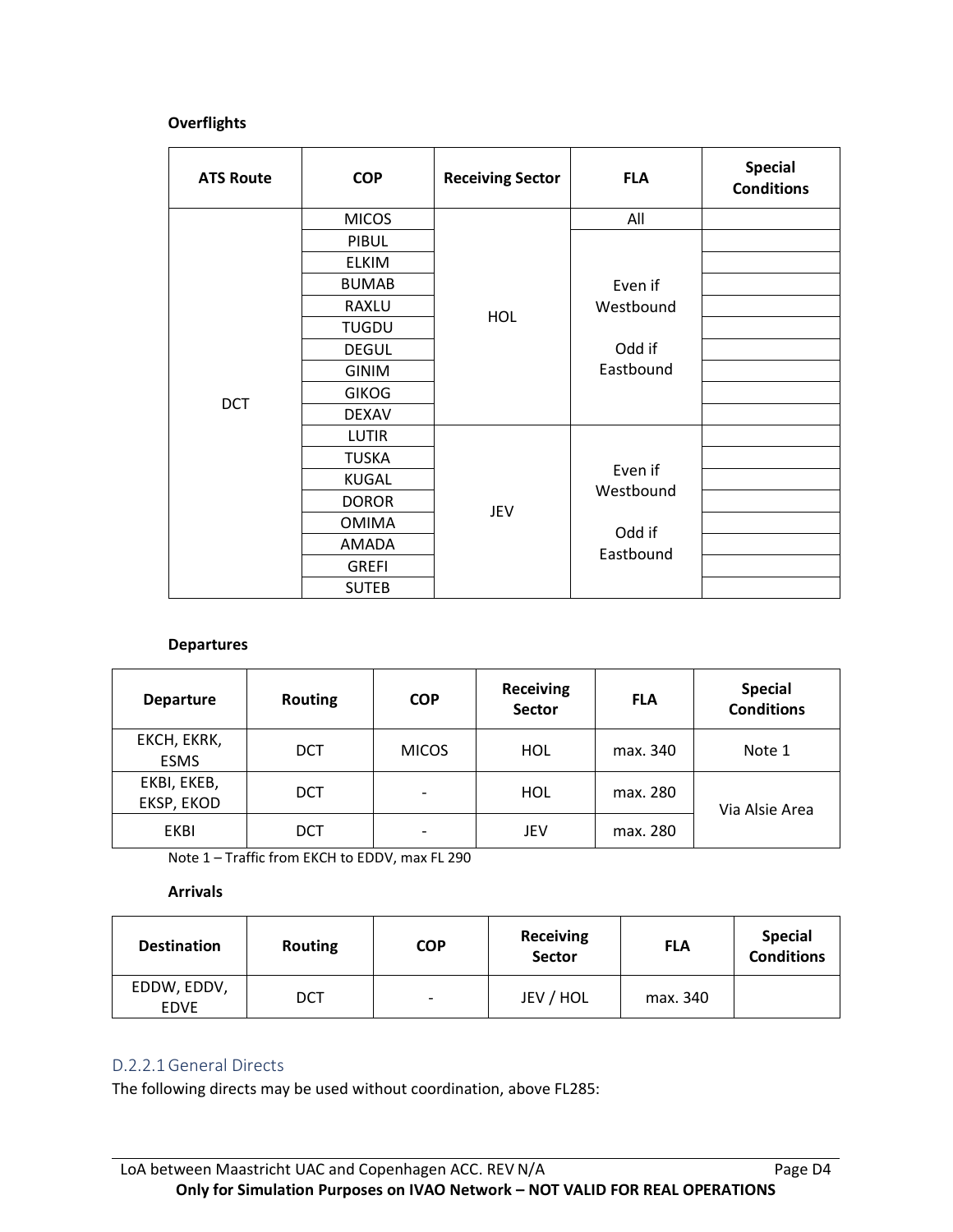### **Overflights**

| <b>ATS Route</b> | <b>COP</b>   | <b>Receiving Sector</b> | <b>FLA</b>                     | <b>Special</b><br><b>Conditions</b> |
|------------------|--------------|-------------------------|--------------------------------|-------------------------------------|
|                  | <b>MICOS</b> |                         | All                            |                                     |
|                  | <b>PIBUL</b> |                         |                                |                                     |
|                  | <b>ELKIM</b> |                         |                                |                                     |
|                  | <b>BUMAB</b> |                         | Even if                        |                                     |
|                  | RAXLU        |                         | Westbound                      |                                     |
|                  | <b>TUGDU</b> | <b>HOL</b>              | Odd if<br>Eastbound            |                                     |
|                  | <b>DEGUL</b> |                         |                                |                                     |
|                  | <b>GINIM</b> |                         |                                |                                     |
| <b>DCT</b>       | <b>GIKOG</b> |                         |                                |                                     |
|                  | <b>DEXAV</b> |                         |                                |                                     |
|                  | <b>LUTIR</b> |                         |                                |                                     |
|                  | <b>TUSKA</b> |                         | Even if<br>Westbound<br>Odd if |                                     |
|                  | KUGAL        |                         |                                |                                     |
|                  | <b>DOROR</b> |                         |                                |                                     |
|                  | <b>OMIMA</b> | JEV                     |                                |                                     |
|                  | AMADA        |                         | Eastbound                      |                                     |
|                  | <b>GREFI</b> |                         |                                |                                     |
|                  | <b>SUTEB</b> |                         |                                |                                     |

#### **Departures**

| <b>Departure</b>           | <b>Routing</b> | <b>COP</b>               | <b>Receiving</b><br><b>Sector</b> | <b>FLA</b> | <b>Special</b><br><b>Conditions</b> |
|----------------------------|----------------|--------------------------|-----------------------------------|------------|-------------------------------------|
| EKCH, EKRK,<br><b>ESMS</b> | <b>DCT</b>     | <b>MICOS</b>             | HOL                               | max. 340   | Note 1                              |
| EKBI, EKEB,<br>EKSP, EKOD  | <b>DCT</b>     | $\overline{\phantom{a}}$ | HOL                               | max. 280   | Via Alsie Area                      |
| EKBI                       | DCT            | $\overline{\phantom{a}}$ | JEV                               | max. 280   |                                     |

Note 1 – Traffic from EKCH to EDDV, max FL 290

#### **Arrivals**

| <b>Destination</b>         | <b>Routing</b> | <b>COP</b>               | <b>Receiving</b><br><b>Sector</b> | <b>FLA</b> | <b>Special</b><br><b>Conditions</b> |
|----------------------------|----------------|--------------------------|-----------------------------------|------------|-------------------------------------|
| EDDW, EDDV,<br><b>EDVE</b> | DCT            | $\overline{\phantom{a}}$ | JEV / HOL                         | max. 340   |                                     |

### D.2.2.1General Directs

The following directs may be used without coordination, above FL285: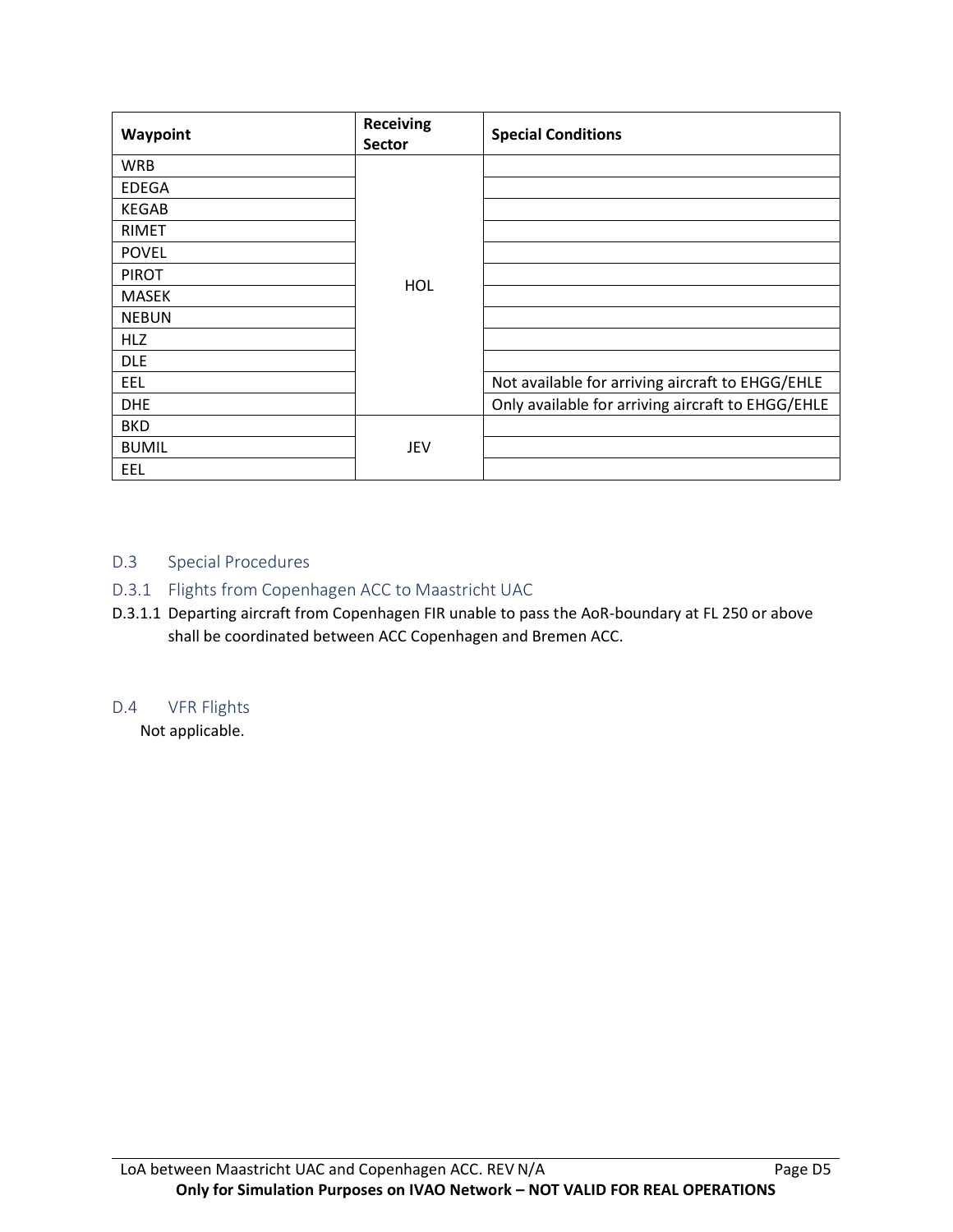| Waypoint     | <b>Receiving</b><br><b>Sector</b> | <b>Special Conditions</b>                         |
|--------------|-----------------------------------|---------------------------------------------------|
| <b>WRB</b>   |                                   |                                                   |
| <b>EDEGA</b> |                                   |                                                   |
| <b>KEGAB</b> |                                   |                                                   |
| <b>RIMET</b> |                                   |                                                   |
| <b>POVEL</b> |                                   |                                                   |
| <b>PIROT</b> |                                   |                                                   |
| MASEK        | HOL                               |                                                   |
| <b>NEBUN</b> |                                   |                                                   |
| <b>HLZ</b>   |                                   |                                                   |
| <b>DLE</b>   |                                   |                                                   |
| EEL          |                                   | Not available for arriving aircraft to EHGG/EHLE  |
| <b>DHE</b>   |                                   | Only available for arriving aircraft to EHGG/EHLE |
| <b>BKD</b>   |                                   |                                                   |
| <b>BUMIL</b> | JEV                               |                                                   |
| EEL          |                                   |                                                   |

### D.3 Special Procedures

### D.3.1 Flights from Copenhagen ACC to Maastricht UAC

D.3.1.1 Departing aircraft from Copenhagen FIR unable to pass the AoR-boundary at FL 250 or above shall be coordinated between ACC Copenhagen and Bremen ACC.

### D.4 VFR Flights

Not applicable.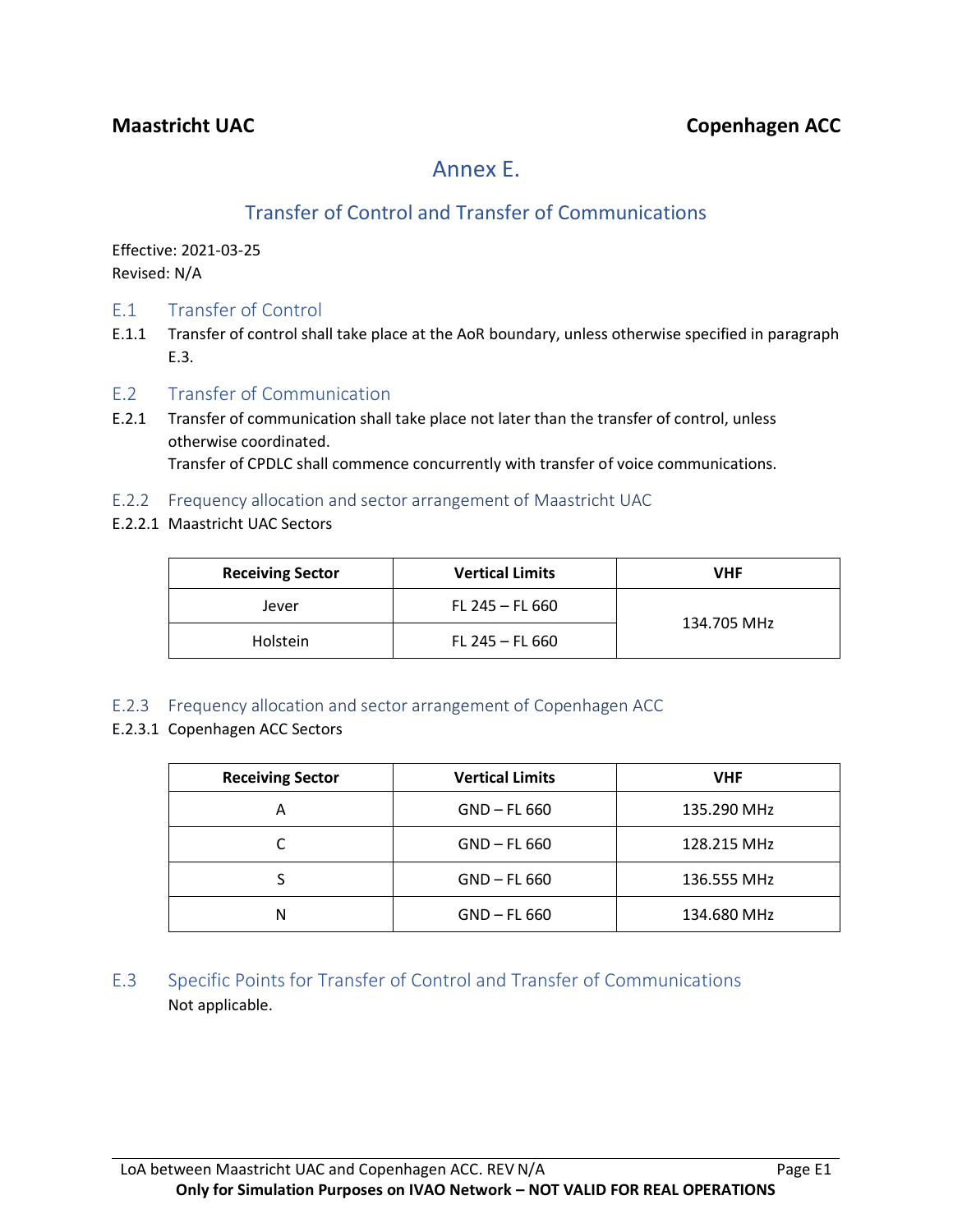# Annex E.

# Transfer of Control and Transfer of Communications

Effective: 2021-03-25 Revised: N/A

- E.1 Transfer of Control
- E.1.1 Transfer of control shall take place at the AoR boundary, unless otherwise specified in paragraph E.3.
- E.2 Transfer of Communication
- E.2.1 Transfer of communication shall take place not later than the transfer of control, unless otherwise coordinated. Transfer of CPDLC shall commence concurrently with transfer of voice communications.
- E.2.2 Frequency allocation and sector arrangement of Maastricht UAC
- E.2.2.1 Maastricht UAC Sectors

| <b>Receiving Sector</b> | <b>Vertical Limits</b><br><b>VHF</b> |             |  |
|-------------------------|--------------------------------------|-------------|--|
| Jever                   | FL 245 $-$ FL 660                    |             |  |
| Holstein                | FL 245 – FL 660                      | 134.705 MHz |  |

- E.2.3 Frequency allocation and sector arrangement of Copenhagen ACC
- E.2.3.1 Copenhagen ACC Sectors

| <b>Receiving Sector</b> | <b>Vertical Limits</b> | <b>VHF</b>  |  |
|-------------------------|------------------------|-------------|--|
| А                       | $GND$ – FL 660         | 135.290 MHz |  |
|                         | $GND$ – FL 660         | 128.215 MHz |  |
|                         | $GND$ – FL 660         | 136.555 MHz |  |
| N                       | $GND$ – FL 660         | 134.680 MHz |  |

E.3 Specific Points for Transfer of Control and Transfer of Communications Not applicable.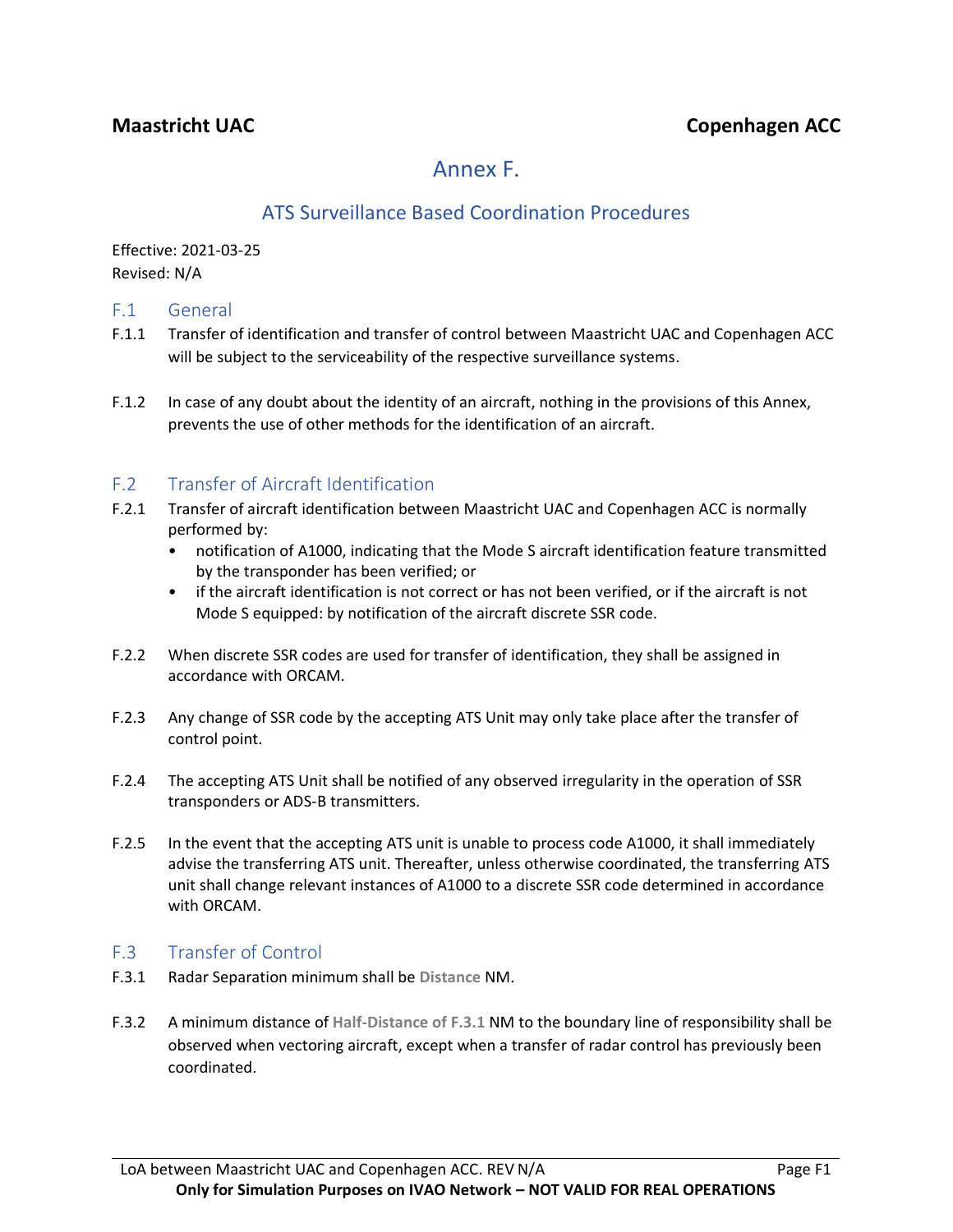# Annex F.

# ATS Surveillance Based Coordination Procedures

Effective: 2021-03-25 Revised: N/A

### F.1 General

- F.1.1 Transfer of identification and transfer of control between Maastricht UAC and Copenhagen ACC will be subject to the serviceability of the respective surveillance systems.
- F.1.2 In case of any doubt about the identity of an aircraft, nothing in the provisions of this Annex, prevents the use of other methods for the identification of an aircraft.

## F.2 Transfer of Aircraft Identification

- F.2.1 Transfer of aircraft identification between Maastricht UAC and Copenhagen ACC is normally performed by:
	- notification of A1000, indicating that the Mode S aircraft identification feature transmitted by the transponder has been verified; or
	- if the aircraft identification is not correct or has not been verified, or if the aircraft is not Mode S equipped: by notification of the aircraft discrete SSR code.
- F.2.2 When discrete SSR codes are used for transfer of identification, they shall be assigned in accordance with ORCAM.
- F.2.3 Any change of SSR code by the accepting ATS Unit may only take place after the transfer of control point.
- F.2.4 The accepting ATS Unit shall be notified of any observed irregularity in the operation of SSR transponders or ADS-B transmitters.
- F.2.5 In the event that the accepting ATS unit is unable to process code A1000, it shall immediately advise the transferring ATS unit. Thereafter, unless otherwise coordinated, the transferring ATS unit shall change relevant instances of A1000 to a discrete SSR code determined in accordance with ORCAM.

### F.3 Transfer of Control

- F.3.1 Radar Separation minimum shall be **Distance** NM.
- F.3.2 A minimum distance of **Half-Distance of F.3.1** NM to the boundary line of responsibility shall be observed when vectoring aircraft, except when a transfer of radar control has previously been coordinated.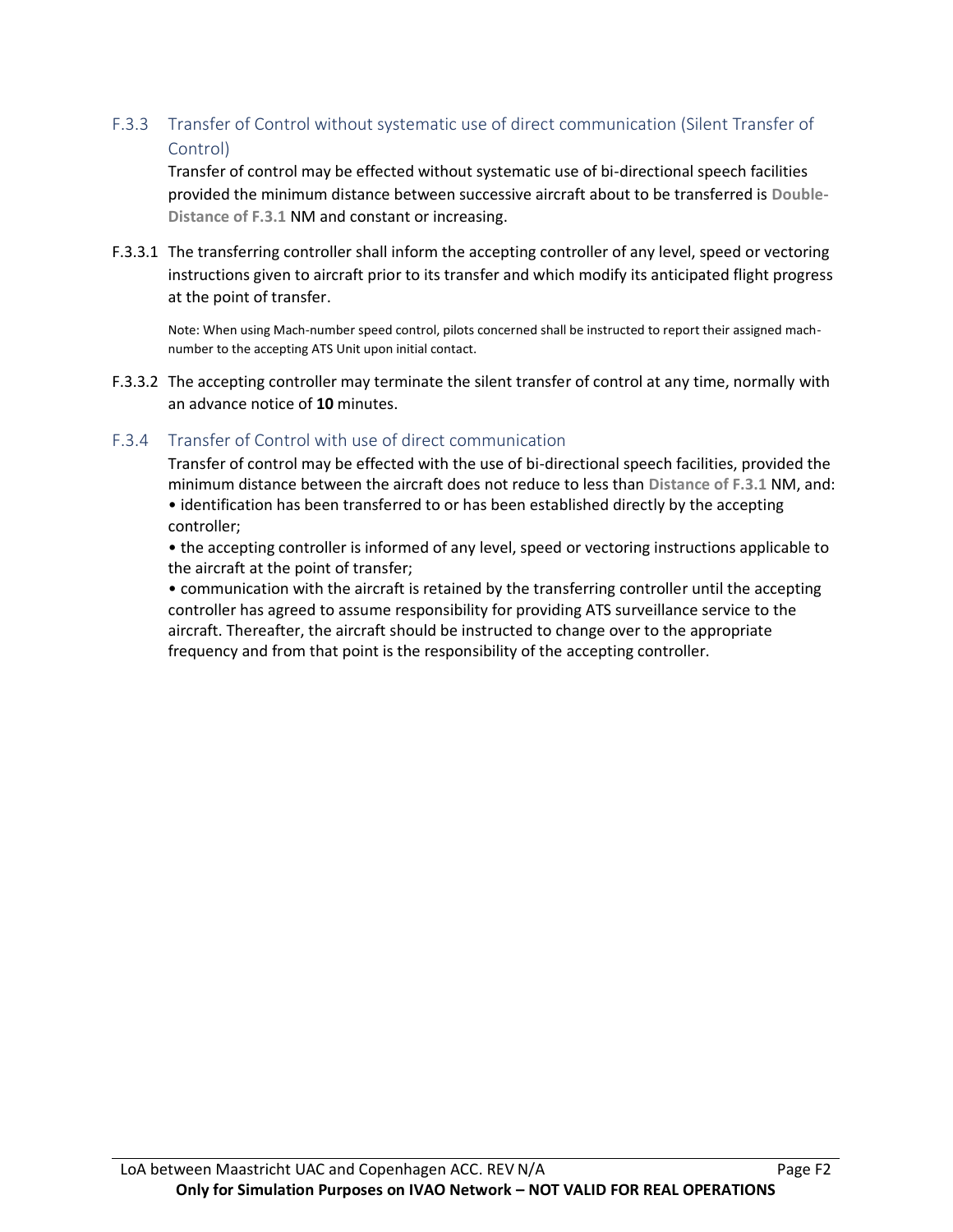### F.3.3 Transfer of Control without systematic use of direct communication (Silent Transfer of Control)

Transfer of control may be effected without systematic use of bi-directional speech facilities provided the minimum distance between successive aircraft about to be transferred is **Double-Distance of F.3.1** NM and constant or increasing.

F.3.3.1 The transferring controller shall inform the accepting controller of any level, speed or vectoring instructions given to aircraft prior to its transfer and which modify its anticipated flight progress at the point of transfer.

Note: When using Mach-number speed control, pilots concerned shall be instructed to report their assigned machnumber to the accepting ATS Unit upon initial contact.

F.3.3.2 The accepting controller may terminate the silent transfer of control at any time, normally with an advance notice of **10** minutes.

### F.3.4 Transfer of Control with use of direct communication

Transfer of control may be effected with the use of bi-directional speech facilities, provided the minimum distance between the aircraft does not reduce to less than **Distance of F.3.1** NM, and:

• identification has been transferred to or has been established directly by the accepting controller;

• the accepting controller is informed of any level, speed or vectoring instructions applicable to the aircraft at the point of transfer;

• communication with the aircraft is retained by the transferring controller until the accepting controller has agreed to assume responsibility for providing ATS surveillance service to the aircraft. Thereafter, the aircraft should be instructed to change over to the appropriate frequency and from that point is the responsibility of the accepting controller.